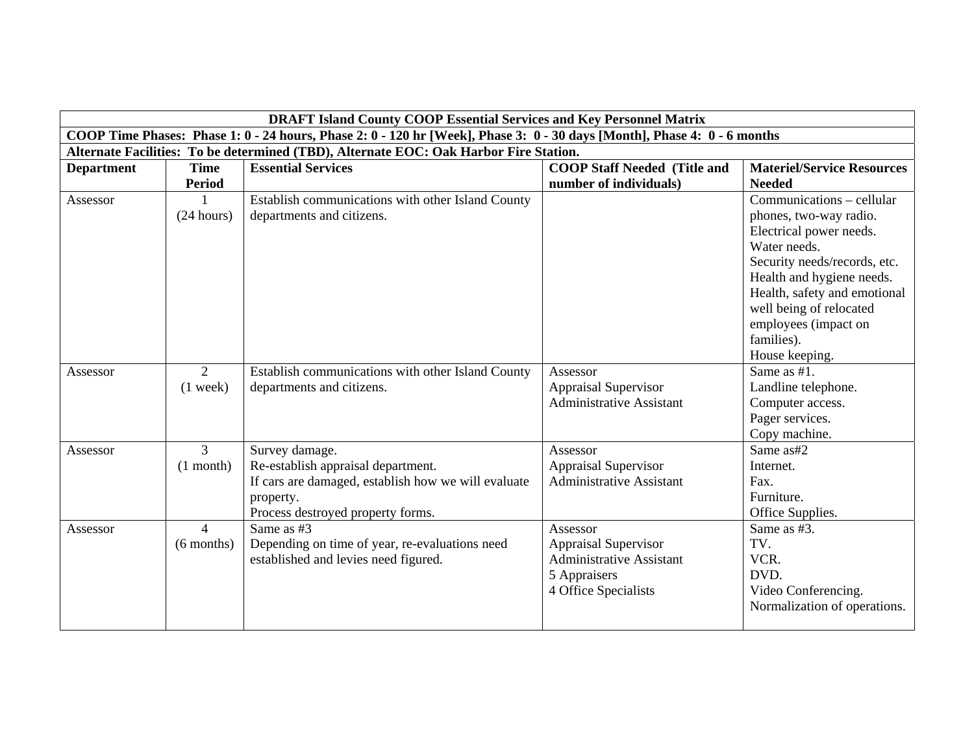|                   |                | <b>DRAFT Island County COOP Essential Services and Key Personnel Matrix</b>                                              |                                     |                                   |
|-------------------|----------------|--------------------------------------------------------------------------------------------------------------------------|-------------------------------------|-----------------------------------|
|                   |                | COOP Time Phases: Phase 1: 0 - 24 hours, Phase 2: 0 - 120 hr [Week], Phase 3: 0 - 30 days [Month], Phase 4: 0 - 6 months |                                     |                                   |
|                   |                | Alternate Facilities: To be determined (TBD), Alternate EOC: Oak Harbor Fire Station.                                    |                                     |                                   |
| <b>Department</b> | <b>Time</b>    | <b>Essential Services</b>                                                                                                | <b>COOP Staff Needed (Title and</b> | <b>Materiel/Service Resources</b> |
|                   | <b>Period</b>  |                                                                                                                          | number of individuals)              | <b>Needed</b>                     |
| Assessor          |                | Establish communications with other Island County                                                                        |                                     | Communications - cellular         |
|                   | (24 hours)     | departments and citizens.                                                                                                |                                     | phones, two-way radio.            |
|                   |                |                                                                                                                          |                                     | Electrical power needs.           |
|                   |                |                                                                                                                          |                                     | Water needs.                      |
|                   |                |                                                                                                                          |                                     | Security needs/records, etc.      |
|                   |                |                                                                                                                          |                                     | Health and hygiene needs.         |
|                   |                |                                                                                                                          |                                     | Health, safety and emotional      |
|                   |                |                                                                                                                          |                                     | well being of relocated           |
|                   |                |                                                                                                                          |                                     | employees (impact on              |
|                   |                |                                                                                                                          |                                     | families).                        |
|                   |                |                                                                                                                          |                                     | House keeping.                    |
| Assessor          | 2              | Establish communications with other Island County                                                                        | Assessor                            | Same as $#1$ .                    |
|                   | $(1$ week)     | departments and citizens.                                                                                                | <b>Appraisal Supervisor</b>         | Landline telephone.               |
|                   |                |                                                                                                                          | <b>Administrative Assistant</b>     | Computer access.                  |
|                   |                |                                                                                                                          |                                     | Pager services.                   |
|                   |                |                                                                                                                          |                                     | Copy machine.                     |
| Assessor          | $\overline{3}$ | Survey damage.                                                                                                           | Assessor                            | Same as#2                         |
|                   | $(1$ month)    | Re-establish appraisal department.                                                                                       | <b>Appraisal Supervisor</b>         | Internet.                         |
|                   |                | If cars are damaged, establish how we will evaluate                                                                      | <b>Administrative Assistant</b>     | Fax.                              |
|                   |                | property.                                                                                                                |                                     | Furniture.                        |
|                   |                | Process destroyed property forms.                                                                                        |                                     | Office Supplies.                  |
| Assessor          | $\overline{4}$ | Same as #3                                                                                                               | Assessor                            | Same as #3.                       |
|                   | $(6$ months)   | Depending on time of year, re-evaluations need                                                                           | <b>Appraisal Supervisor</b>         | TV.                               |
|                   |                | established and levies need figured.                                                                                     | <b>Administrative Assistant</b>     | VCR.                              |
|                   |                |                                                                                                                          | 5 Appraisers                        | DVD.                              |
|                   |                |                                                                                                                          | 4 Office Specialists                | Video Conferencing.               |
|                   |                |                                                                                                                          |                                     | Normalization of operations.      |
|                   |                |                                                                                                                          |                                     |                                   |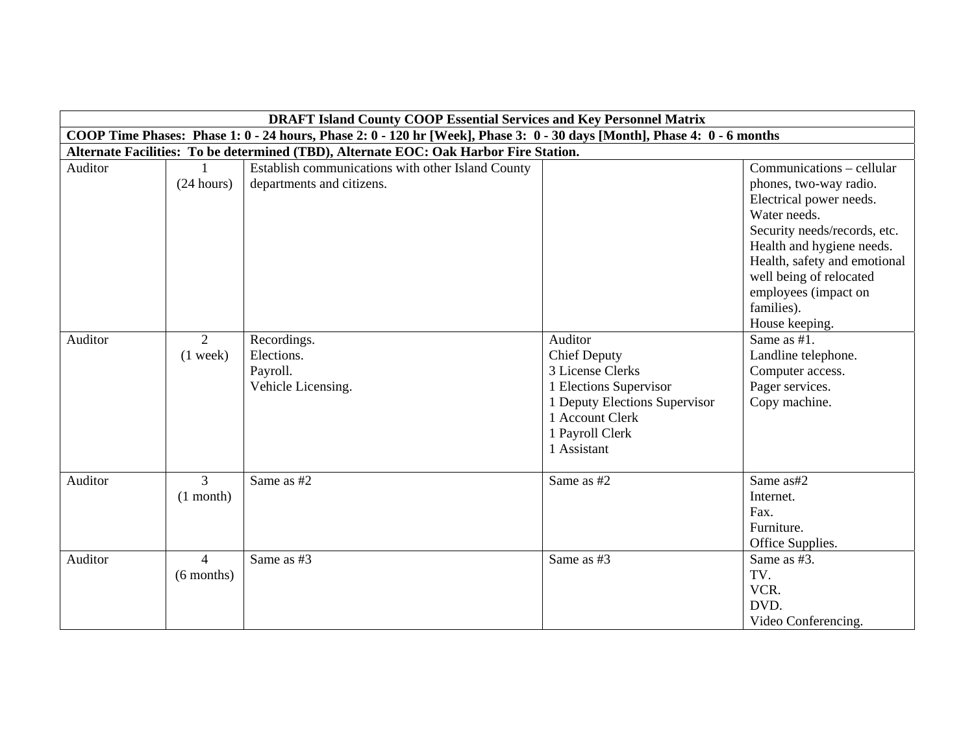|                                                                                                                          | <b>DRAFT Island County COOP Essential Services and Key Personnel Matrix</b> |                                                                                       |                               |                              |  |
|--------------------------------------------------------------------------------------------------------------------------|-----------------------------------------------------------------------------|---------------------------------------------------------------------------------------|-------------------------------|------------------------------|--|
| COOP Time Phases: Phase 1: 0 - 24 hours, Phase 2: 0 - 120 hr [Week], Phase 3: 0 - 30 days [Month], Phase 4: 0 - 6 months |                                                                             |                                                                                       |                               |                              |  |
|                                                                                                                          |                                                                             | Alternate Facilities: To be determined (TBD), Alternate EOC: Oak Harbor Fire Station. |                               |                              |  |
| Auditor                                                                                                                  |                                                                             | Establish communications with other Island County                                     |                               | Communications – cellular    |  |
|                                                                                                                          | (24 hours)                                                                  | departments and citizens.                                                             |                               | phones, two-way radio.       |  |
|                                                                                                                          |                                                                             |                                                                                       |                               | Electrical power needs.      |  |
|                                                                                                                          |                                                                             |                                                                                       |                               | Water needs.                 |  |
|                                                                                                                          |                                                                             |                                                                                       |                               | Security needs/records, etc. |  |
|                                                                                                                          |                                                                             |                                                                                       |                               | Health and hygiene needs.    |  |
|                                                                                                                          |                                                                             |                                                                                       |                               | Health, safety and emotional |  |
|                                                                                                                          |                                                                             |                                                                                       |                               | well being of relocated      |  |
|                                                                                                                          |                                                                             |                                                                                       |                               | employees (impact on         |  |
|                                                                                                                          |                                                                             |                                                                                       |                               | families).                   |  |
|                                                                                                                          |                                                                             |                                                                                       |                               | House keeping.               |  |
| Auditor                                                                                                                  | 2                                                                           | Recordings.                                                                           | Auditor                       | Same as #1.                  |  |
|                                                                                                                          | $(1$ week)                                                                  | Elections.                                                                            | <b>Chief Deputy</b>           | Landline telephone.          |  |
|                                                                                                                          |                                                                             | Payroll.                                                                              | 3 License Clerks              | Computer access.             |  |
|                                                                                                                          |                                                                             | Vehicle Licensing.                                                                    | 1 Elections Supervisor        | Pager services.              |  |
|                                                                                                                          |                                                                             |                                                                                       | 1 Deputy Elections Supervisor | Copy machine.                |  |
|                                                                                                                          |                                                                             |                                                                                       | 1 Account Clerk               |                              |  |
|                                                                                                                          |                                                                             |                                                                                       | 1 Payroll Clerk               |                              |  |
|                                                                                                                          |                                                                             |                                                                                       | 1 Assistant                   |                              |  |
| Auditor                                                                                                                  | 3                                                                           | Same as #2                                                                            | Same as #2                    | Same as#2                    |  |
|                                                                                                                          | $(1$ month)                                                                 |                                                                                       |                               | Internet.                    |  |
|                                                                                                                          |                                                                             |                                                                                       |                               | Fax.                         |  |
|                                                                                                                          |                                                                             |                                                                                       |                               | Furniture.                   |  |
|                                                                                                                          |                                                                             |                                                                                       |                               | Office Supplies.             |  |
| Auditor                                                                                                                  | $\overline{4}$                                                              | Same as #3                                                                            | Same as #3                    | Same as #3.                  |  |
|                                                                                                                          | $(6$ months)                                                                |                                                                                       |                               | TV.                          |  |
|                                                                                                                          |                                                                             |                                                                                       |                               | VCR.                         |  |
|                                                                                                                          |                                                                             |                                                                                       |                               | DVD.                         |  |
|                                                                                                                          |                                                                             |                                                                                       |                               | Video Conferencing.          |  |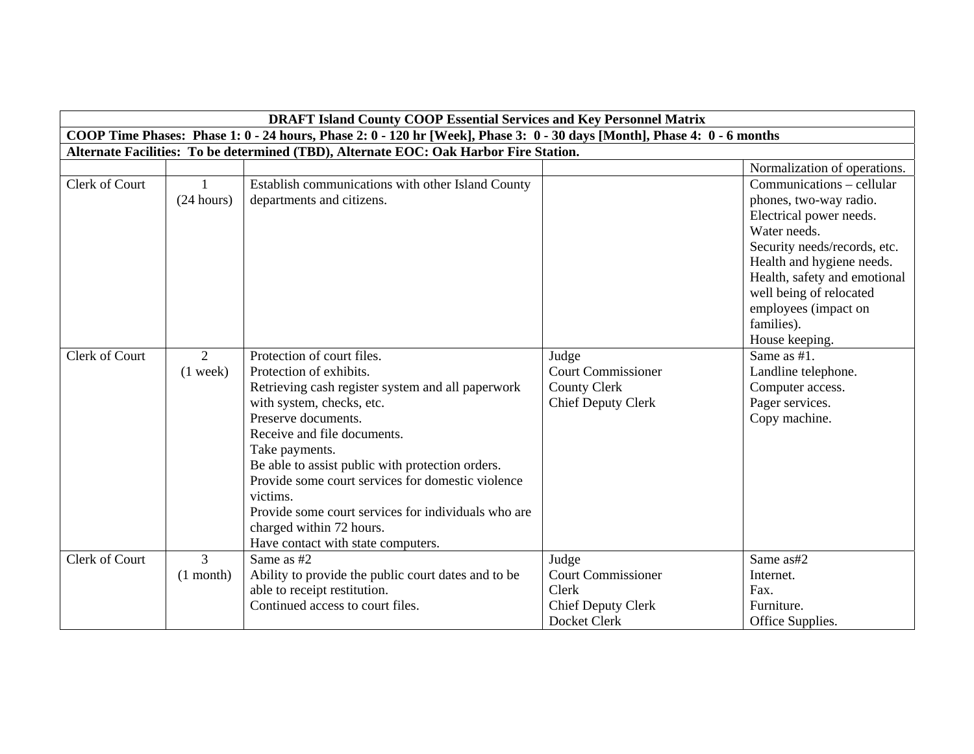| <b>DRAFT Island County COOP Essential Services and Key Personnel Matrix</b> |                               |                                                                                                                                                                                                                                                                                                                                                                                                                                                               |                                                                                          |                                                                                                                                                                                                                                                              |
|-----------------------------------------------------------------------------|-------------------------------|---------------------------------------------------------------------------------------------------------------------------------------------------------------------------------------------------------------------------------------------------------------------------------------------------------------------------------------------------------------------------------------------------------------------------------------------------------------|------------------------------------------------------------------------------------------|--------------------------------------------------------------------------------------------------------------------------------------------------------------------------------------------------------------------------------------------------------------|
|                                                                             |                               | COOP Time Phases: Phase 1: 0 - 24 hours, Phase 2: 0 - 120 hr [Week], Phase 3: 0 - 30 days [Month], Phase 4: 0 - 6 months                                                                                                                                                                                                                                                                                                                                      |                                                                                          |                                                                                                                                                                                                                                                              |
|                                                                             |                               | Alternate Facilities: To be determined (TBD), Alternate EOC: Oak Harbor Fire Station.                                                                                                                                                                                                                                                                                                                                                                         |                                                                                          |                                                                                                                                                                                                                                                              |
|                                                                             |                               |                                                                                                                                                                                                                                                                                                                                                                                                                                                               |                                                                                          | Normalization of operations.                                                                                                                                                                                                                                 |
| Clerk of Court                                                              | $\mathbf{1}$<br>(24 hours)    | Establish communications with other Island County<br>departments and citizens.                                                                                                                                                                                                                                                                                                                                                                                |                                                                                          | Communications – cellular<br>phones, two-way radio.<br>Electrical power needs.<br>Water needs.<br>Security needs/records, etc.<br>Health and hygiene needs.<br>Health, safety and emotional<br>well being of relocated<br>employees (impact on<br>families). |
|                                                                             |                               |                                                                                                                                                                                                                                                                                                                                                                                                                                                               |                                                                                          | House keeping.                                                                                                                                                                                                                                               |
| Clerk of Court                                                              | 2<br>$(1$ week)               | Protection of court files.<br>Protection of exhibits.<br>Retrieving cash register system and all paperwork<br>with system, checks, etc.<br>Preserve documents.<br>Receive and file documents.<br>Take payments.<br>Be able to assist public with protection orders.<br>Provide some court services for domestic violence<br>victims.<br>Provide some court services for individuals who are<br>charged within 72 hours.<br>Have contact with state computers. | Judge<br><b>Court Commissioner</b><br><b>County Clerk</b><br><b>Chief Deputy Clerk</b>   | Same as #1.<br>Landline telephone.<br>Computer access.<br>Pager services.<br>Copy machine.                                                                                                                                                                   |
| Clerk of Court                                                              | $\overline{3}$<br>$(1$ month) | Same as #2<br>Ability to provide the public court dates and to be<br>able to receipt restitution.<br>Continued access to court files.                                                                                                                                                                                                                                                                                                                         | Judge<br><b>Court Commissioner</b><br>Clerk<br><b>Chief Deputy Clerk</b><br>Docket Clerk | Same as#2<br>Internet.<br>Fax.<br>Furniture.<br>Office Supplies.                                                                                                                                                                                             |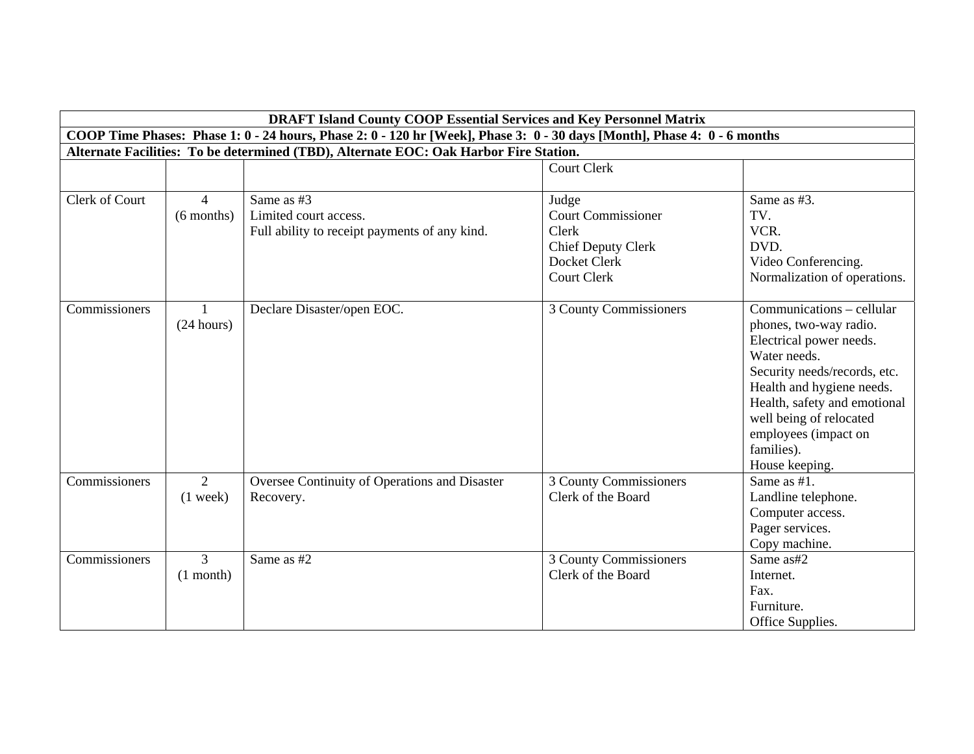|                      | <b>DRAFT Island County COOP Essential Services and Key Personnel Matrix</b>           |                                                                                                                          |                           |                              |  |
|----------------------|---------------------------------------------------------------------------------------|--------------------------------------------------------------------------------------------------------------------------|---------------------------|------------------------------|--|
|                      |                                                                                       | COOP Time Phases: Phase 1: 0 - 24 hours, Phase 2: 0 - 120 hr [Week], Phase 3: 0 - 30 days [Month], Phase 4: 0 - 6 months |                           |                              |  |
|                      | Alternate Facilities: To be determined (TBD), Alternate EOC: Oak Harbor Fire Station. |                                                                                                                          |                           |                              |  |
|                      |                                                                                       |                                                                                                                          | <b>Court Clerk</b>        |                              |  |
|                      |                                                                                       |                                                                                                                          |                           |                              |  |
| Clerk of Court       | $\mathbf 4$                                                                           | Same as #3                                                                                                               | Judge                     | Same as #3.                  |  |
|                      | $(6$ months)                                                                          | Limited court access.                                                                                                    | <b>Court Commissioner</b> | TV.                          |  |
|                      |                                                                                       | Full ability to receipt payments of any kind.                                                                            | Clerk                     | VCR.                         |  |
|                      |                                                                                       |                                                                                                                          | <b>Chief Deputy Clerk</b> | DVD.                         |  |
|                      |                                                                                       |                                                                                                                          | Docket Clerk              | Video Conferencing.          |  |
|                      |                                                                                       |                                                                                                                          | <b>Court Clerk</b>        | Normalization of operations. |  |
| <b>Commissioners</b> |                                                                                       | Declare Disaster/open EOC.                                                                                               | 3 County Commissioners    | Communications – cellular    |  |
|                      | (24 hours)                                                                            |                                                                                                                          |                           | phones, two-way radio.       |  |
|                      |                                                                                       |                                                                                                                          |                           | Electrical power needs.      |  |
|                      |                                                                                       |                                                                                                                          |                           | Water needs.                 |  |
|                      |                                                                                       |                                                                                                                          |                           | Security needs/records, etc. |  |
|                      |                                                                                       |                                                                                                                          |                           | Health and hygiene needs.    |  |
|                      |                                                                                       |                                                                                                                          |                           | Health, safety and emotional |  |
|                      |                                                                                       |                                                                                                                          |                           | well being of relocated      |  |
|                      |                                                                                       |                                                                                                                          |                           | employees (impact on         |  |
|                      |                                                                                       |                                                                                                                          |                           | families).                   |  |
|                      |                                                                                       |                                                                                                                          |                           | House keeping.               |  |
| Commissioners        | $\overline{2}$                                                                        | Oversee Continuity of Operations and Disaster                                                                            | 3 County Commissioners    | Same as #1.                  |  |
|                      | $(1$ week)                                                                            | Recovery.                                                                                                                | Clerk of the Board        | Landline telephone.          |  |
|                      |                                                                                       |                                                                                                                          |                           | Computer access.             |  |
|                      |                                                                                       |                                                                                                                          |                           | Pager services.              |  |
|                      |                                                                                       |                                                                                                                          |                           | Copy machine.                |  |
| Commissioners        | $\mathfrak{Z}$                                                                        | Same as #2                                                                                                               | 3 County Commissioners    | Same as#2                    |  |
|                      | $(1$ month)                                                                           |                                                                                                                          | Clerk of the Board        | Internet.                    |  |
|                      |                                                                                       |                                                                                                                          |                           | Fax.                         |  |
|                      |                                                                                       |                                                                                                                          |                           | Furniture.                   |  |
|                      |                                                                                       |                                                                                                                          |                           | Office Supplies.             |  |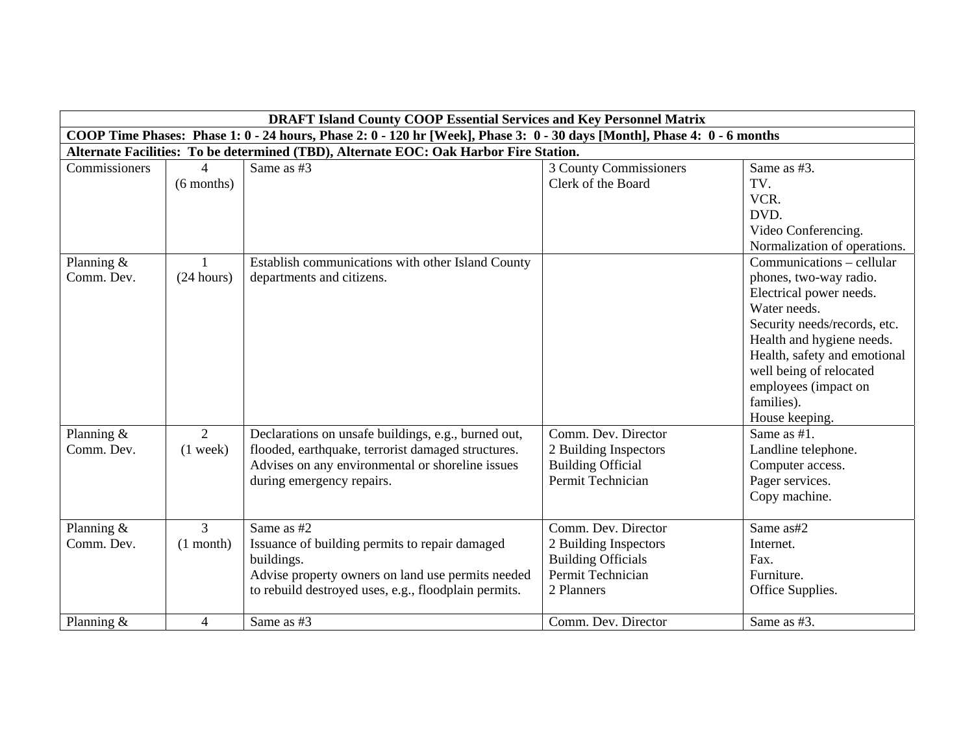|               |                          | <b>DRAFT Island County COOP Essential Services and Key Personnel Matrix</b>                                              |                           |                              |
|---------------|--------------------------|--------------------------------------------------------------------------------------------------------------------------|---------------------------|------------------------------|
|               |                          | COOP Time Phases: Phase 1: 0 - 24 hours, Phase 2: 0 - 120 hr [Week], Phase 3: 0 - 30 days [Month], Phase 4: 0 - 6 months |                           |                              |
|               |                          | Alternate Facilities: To be determined (TBD), Alternate EOC: Oak Harbor Fire Station.                                    |                           |                              |
| Commissioners | $\overline{\mathcal{A}}$ | Same as #3                                                                                                               | 3 County Commissioners    | Same as #3.                  |
|               | $(6$ months)             |                                                                                                                          | Clerk of the Board        | TV.                          |
|               |                          |                                                                                                                          |                           | VCR.                         |
|               |                          |                                                                                                                          |                           | DVD.                         |
|               |                          |                                                                                                                          |                           | Video Conferencing.          |
|               |                          |                                                                                                                          |                           | Normalization of operations. |
| Planning $&$  |                          | Establish communications with other Island County                                                                        |                           | Communications – cellular    |
| Comm. Dev.    | (24 hours)               | departments and citizens.                                                                                                |                           | phones, two-way radio.       |
|               |                          |                                                                                                                          |                           | Electrical power needs.      |
|               |                          |                                                                                                                          |                           | Water needs.                 |
|               |                          |                                                                                                                          |                           | Security needs/records, etc. |
|               |                          |                                                                                                                          |                           | Health and hygiene needs.    |
|               |                          |                                                                                                                          |                           | Health, safety and emotional |
|               |                          |                                                                                                                          |                           | well being of relocated      |
|               |                          |                                                                                                                          |                           | employees (impact on         |
|               |                          |                                                                                                                          |                           | families).                   |
|               |                          |                                                                                                                          |                           | House keeping.               |
| Planning $&$  | $\overline{2}$           | Declarations on unsafe buildings, e.g., burned out,                                                                      | Comm. Dev. Director       | Same as #1.                  |
| Comm. Dev.    | $(1$ week)               | flooded, earthquake, terrorist damaged structures.                                                                       | 2 Building Inspectors     | Landline telephone.          |
|               |                          | Advises on any environmental or shoreline issues                                                                         | <b>Building Official</b>  | Computer access.             |
|               |                          | during emergency repairs.                                                                                                | Permit Technician         | Pager services.              |
|               |                          |                                                                                                                          |                           | Copy machine.                |
| Planning $&$  | 3                        | Same as #2                                                                                                               | Comm. Dev. Director       | Same as#2                    |
| Comm. Dev.    | $(1$ month)              | Issuance of building permits to repair damaged                                                                           | 2 Building Inspectors     | Internet.                    |
|               |                          | buildings.                                                                                                               | <b>Building Officials</b> | Fax.                         |
|               |                          | Advise property owners on land use permits needed                                                                        | Permit Technician         | Furniture.                   |
|               |                          | to rebuild destroyed uses, e.g., floodplain permits.                                                                     | 2 Planners                | Office Supplies.             |
|               |                          |                                                                                                                          |                           |                              |
| Planning &    | $\overline{4}$           | Same as #3                                                                                                               | Comm. Dev. Director       | Same as #3.                  |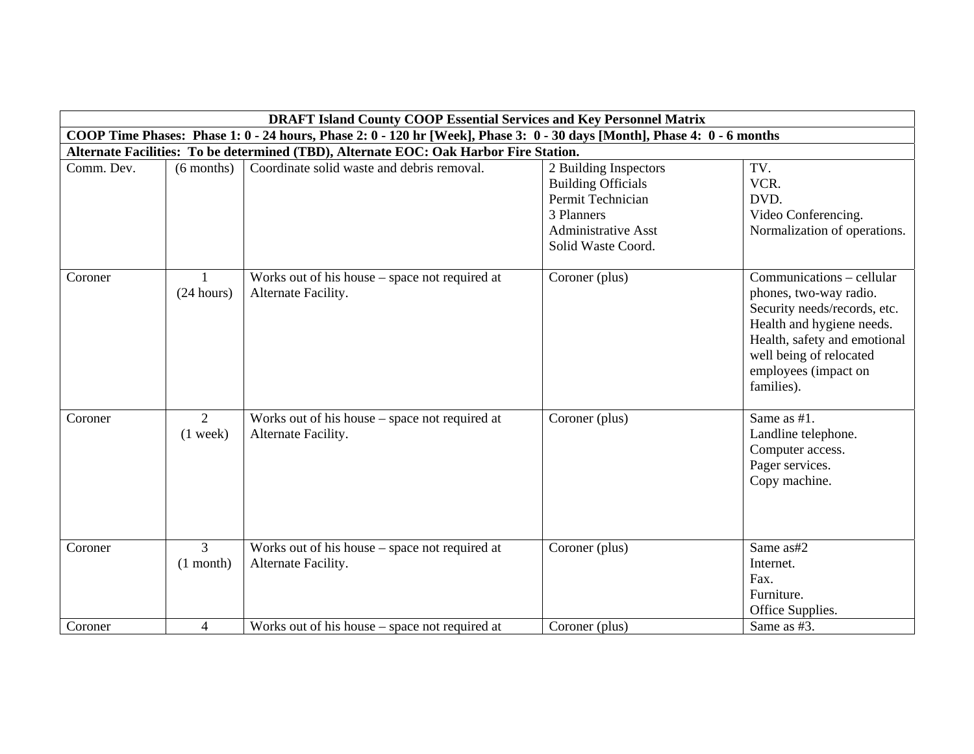|            | <b>DRAFT Island County COOP Essential Services and Key Personnel Matrix</b> |                                                                                                                          |                                                                                                                                           |                                                                                                                                                                                                                   |  |
|------------|-----------------------------------------------------------------------------|--------------------------------------------------------------------------------------------------------------------------|-------------------------------------------------------------------------------------------------------------------------------------------|-------------------------------------------------------------------------------------------------------------------------------------------------------------------------------------------------------------------|--|
|            |                                                                             | COOP Time Phases: Phase 1: 0 - 24 hours, Phase 2: 0 - 120 hr [Week], Phase 3: 0 - 30 days [Month], Phase 4: 0 - 6 months |                                                                                                                                           |                                                                                                                                                                                                                   |  |
|            |                                                                             | Alternate Facilities: To be determined (TBD), Alternate EOC: Oak Harbor Fire Station.                                    |                                                                                                                                           |                                                                                                                                                                                                                   |  |
| Comm. Dev. | $(6$ months)                                                                | Coordinate solid waste and debris removal.                                                                               | 2 Building Inspectors<br><b>Building Officials</b><br>Permit Technician<br>3 Planners<br><b>Administrative Asst</b><br>Solid Waste Coord. | TV.<br>VCR.<br>DVD.<br>Video Conferencing.<br>Normalization of operations.                                                                                                                                        |  |
| Coroner    | (24 hours)                                                                  | Works out of his house – space not required at<br>Alternate Facility.                                                    | Coroner (plus)                                                                                                                            | Communications – cellular<br>phones, two-way radio.<br>Security needs/records, etc.<br>Health and hygiene needs.<br>Health, safety and emotional<br>well being of relocated<br>employees (impact on<br>families). |  |
| Coroner    | 2<br>$(1$ week)                                                             | Works out of his house – space not required at<br>Alternate Facility.                                                    | Coroner (plus)                                                                                                                            | Same as #1.<br>Landline telephone.<br>Computer access.<br>Pager services.<br>Copy machine.                                                                                                                        |  |
| Coroner    | 3<br>$(1$ month)                                                            | Works out of his house – space not required at<br>Alternate Facility.                                                    | Coroner (plus)                                                                                                                            | Same as#2<br>Internet.<br>Fax.<br>Furniture.<br>Office Supplies.                                                                                                                                                  |  |
| Coroner    | $\overline{4}$                                                              | Works out of his house – space not required at                                                                           | Coroner (plus)                                                                                                                            | Same as #3.                                                                                                                                                                                                       |  |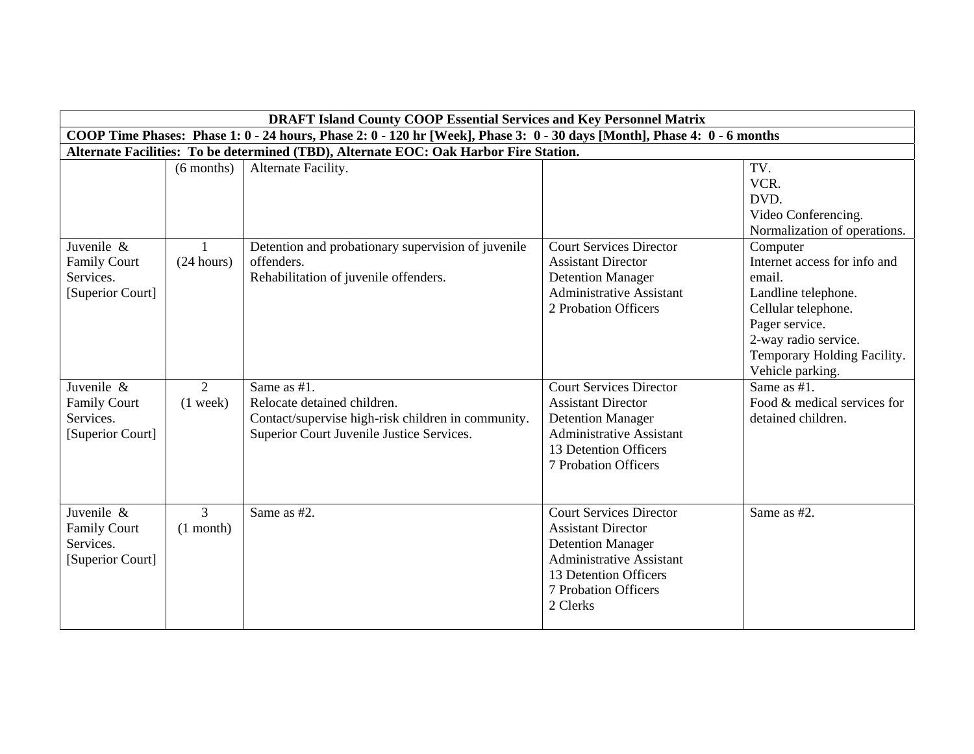|                     |                | <b>DRAFT Island County COOP Essential Services and Key Personnel Matrix</b>                                              |                                 |                              |
|---------------------|----------------|--------------------------------------------------------------------------------------------------------------------------|---------------------------------|------------------------------|
|                     |                | COOP Time Phases: Phase 1: 0 - 24 hours, Phase 2: 0 - 120 hr [Week], Phase 3: 0 - 30 days [Month], Phase 4: 0 - 6 months |                                 |                              |
|                     |                | Alternate Facilities: To be determined (TBD), Alternate EOC: Oak Harbor Fire Station.                                    |                                 |                              |
|                     | $(6$ months)   | Alternate Facility.                                                                                                      |                                 | TV.                          |
|                     |                |                                                                                                                          |                                 | VCR.                         |
|                     |                |                                                                                                                          |                                 | DVD.                         |
|                     |                |                                                                                                                          |                                 | Video Conferencing.          |
|                     |                |                                                                                                                          |                                 | Normalization of operations. |
| Juvenile &          |                | Detention and probationary supervision of juvenile                                                                       | <b>Court Services Director</b>  | Computer                     |
| <b>Family Court</b> | (24 hours)     | offenders.                                                                                                               | <b>Assistant Director</b>       | Internet access for info and |
| Services.           |                | Rehabilitation of juvenile offenders.                                                                                    | <b>Detention Manager</b>        | email.                       |
| [Superior Court]    |                |                                                                                                                          | <b>Administrative Assistant</b> | Landline telephone.          |
|                     |                |                                                                                                                          | 2 Probation Officers            | Cellular telephone.          |
|                     |                |                                                                                                                          |                                 | Pager service.               |
|                     |                |                                                                                                                          |                                 | 2-way radio service.         |
|                     |                |                                                                                                                          |                                 | Temporary Holding Facility.  |
|                     |                |                                                                                                                          |                                 | Vehicle parking.             |
| Juvenile &          | 2              | Same as #1.                                                                                                              | <b>Court Services Director</b>  | Same as #1.                  |
| <b>Family Court</b> | $(1$ week)     | Relocate detained children.                                                                                              | <b>Assistant Director</b>       | Food & medical services for  |
| Services.           |                | Contact/supervise high-risk children in community.                                                                       | <b>Detention Manager</b>        | detained children.           |
| [Superior Court]    |                | Superior Court Juvenile Justice Services.                                                                                | <b>Administrative Assistant</b> |                              |
|                     |                |                                                                                                                          | 13 Detention Officers           |                              |
|                     |                |                                                                                                                          | 7 Probation Officers            |                              |
|                     |                |                                                                                                                          |                                 |                              |
|                     |                |                                                                                                                          |                                 |                              |
| Juvenile &          | $\mathfrak{Z}$ | Same as #2.                                                                                                              | <b>Court Services Director</b>  | Same as #2.                  |
| <b>Family Court</b> | $(1$ month)    |                                                                                                                          | <b>Assistant Director</b>       |                              |
| Services.           |                |                                                                                                                          | <b>Detention Manager</b>        |                              |
| [Superior Court]    |                |                                                                                                                          | <b>Administrative Assistant</b> |                              |
|                     |                |                                                                                                                          | 13 Detention Officers           |                              |
|                     |                |                                                                                                                          | 7 Probation Officers            |                              |
|                     |                |                                                                                                                          | 2 Clerks                        |                              |
|                     |                |                                                                                                                          |                                 |                              |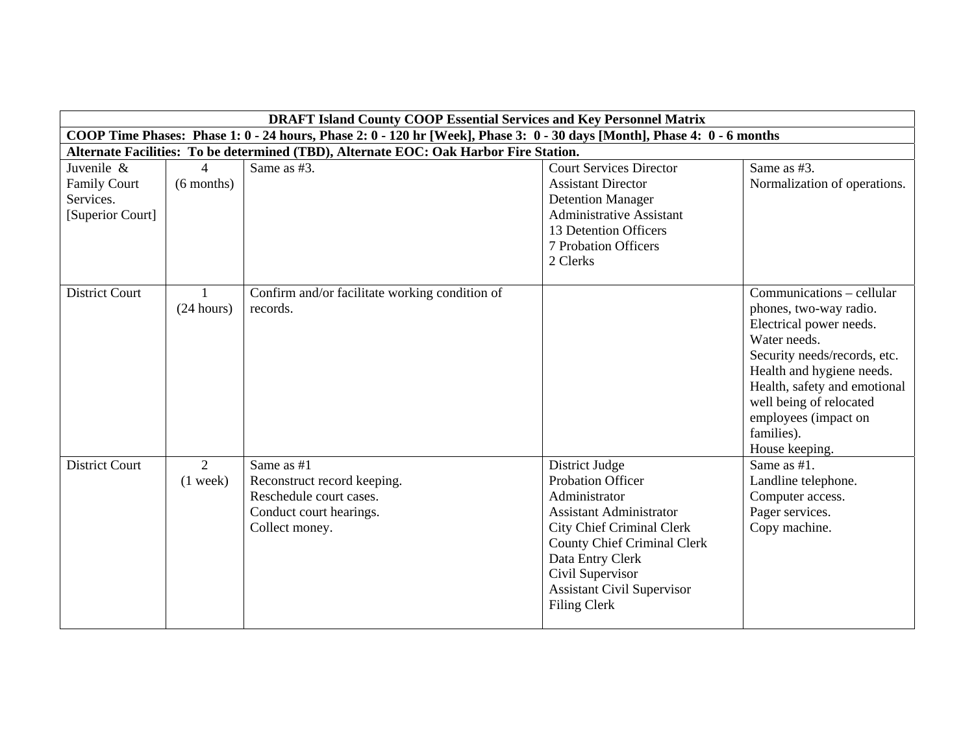|                                                                    |                                | <b>DRAFT Island County COOP Essential Services and Key Personnel Matrix</b>                                              |                                                                                                                                                                                                                                                                             |                                                                                                                                                                                                                                                                                |
|--------------------------------------------------------------------|--------------------------------|--------------------------------------------------------------------------------------------------------------------------|-----------------------------------------------------------------------------------------------------------------------------------------------------------------------------------------------------------------------------------------------------------------------------|--------------------------------------------------------------------------------------------------------------------------------------------------------------------------------------------------------------------------------------------------------------------------------|
|                                                                    |                                | COOP Time Phases: Phase 1: 0 - 24 hours, Phase 2: 0 - 120 hr [Week], Phase 3: 0 - 30 days [Month], Phase 4: 0 - 6 months |                                                                                                                                                                                                                                                                             |                                                                                                                                                                                                                                                                                |
|                                                                    |                                | Alternate Facilities: To be determined (TBD), Alternate EOC: Oak Harbor Fire Station.                                    |                                                                                                                                                                                                                                                                             |                                                                                                                                                                                                                                                                                |
| Juvenile &<br><b>Family Court</b><br>Services.<br>[Superior Court] | $\overline{4}$<br>$(6$ months) | Same as #3.                                                                                                              | <b>Court Services Director</b><br><b>Assistant Director</b><br><b>Detention Manager</b><br><b>Administrative Assistant</b><br>13 Detention Officers<br><b>7 Probation Officers</b><br>2 Clerks                                                                              | Same as #3.<br>Normalization of operations.                                                                                                                                                                                                                                    |
| <b>District Court</b>                                              | $\mathbf{1}$<br>(24 hours)     | Confirm and/or facilitate working condition of<br>records.                                                               |                                                                                                                                                                                                                                                                             | Communications – cellular<br>phones, two-way radio.<br>Electrical power needs.<br>Water needs.<br>Security needs/records, etc.<br>Health and hygiene needs.<br>Health, safety and emotional<br>well being of relocated<br>employees (impact on<br>families).<br>House keeping. |
| <b>District Court</b>                                              | $\overline{2}$<br>$(1$ week)   | Same as #1<br>Reconstruct record keeping.<br>Reschedule court cases.<br>Conduct court hearings.<br>Collect money.        | District Judge<br><b>Probation Officer</b><br>Administrator<br><b>Assistant Administrator</b><br><b>City Chief Criminal Clerk</b><br><b>County Chief Criminal Clerk</b><br>Data Entry Clerk<br>Civil Supervisor<br><b>Assistant Civil Supervisor</b><br><b>Filing Clerk</b> | Same as $#1$ .<br>Landline telephone.<br>Computer access.<br>Pager services.<br>Copy machine.                                                                                                                                                                                  |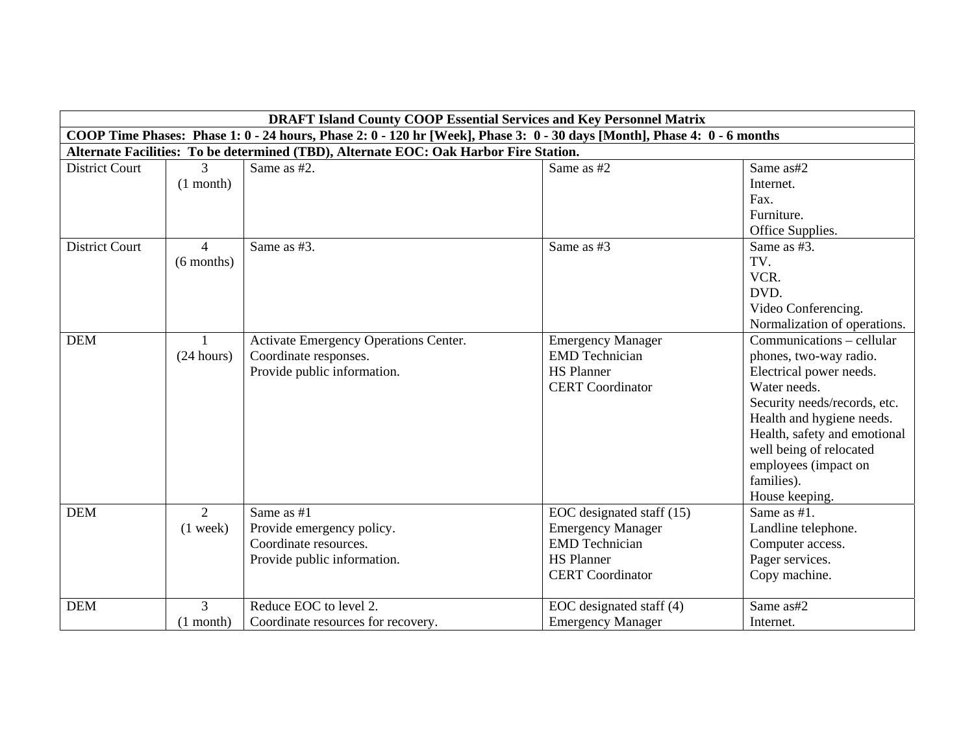|                       |                | <b>DRAFT Island County COOP Essential Services and Key Personnel Matrix</b>                                              |                           |                              |
|-----------------------|----------------|--------------------------------------------------------------------------------------------------------------------------|---------------------------|------------------------------|
|                       |                | COOP Time Phases: Phase 1: 0 - 24 hours, Phase 2: 0 - 120 hr [Week], Phase 3: 0 - 30 days [Month], Phase 4: 0 - 6 months |                           |                              |
|                       |                | Alternate Facilities: To be determined (TBD), Alternate EOC: Oak Harbor Fire Station.                                    |                           |                              |
| <b>District Court</b> | 3              | Same as #2.                                                                                                              | Same as #2                | Same as#2                    |
|                       | $(1$ month)    |                                                                                                                          |                           | Internet.                    |
|                       |                |                                                                                                                          |                           | Fax.                         |
|                       |                |                                                                                                                          |                           | Furniture.                   |
|                       |                |                                                                                                                          |                           | Office Supplies.             |
| <b>District Court</b> | $\overline{4}$ | Same as #3.                                                                                                              | Same as #3                | Same as #3.                  |
|                       | $(6$ months)   |                                                                                                                          |                           | TV.                          |
|                       |                |                                                                                                                          |                           | VCR.                         |
|                       |                |                                                                                                                          |                           | DVD.                         |
|                       |                |                                                                                                                          |                           | Video Conferencing.          |
|                       |                |                                                                                                                          |                           | Normalization of operations. |
| <b>DEM</b>            |                | Activate Emergency Operations Center.                                                                                    | <b>Emergency Manager</b>  | Communications – cellular    |
|                       | (24 hours)     | Coordinate responses.                                                                                                    | <b>EMD</b> Technician     | phones, two-way radio.       |
|                       |                | Provide public information.                                                                                              | <b>HS Planner</b>         | Electrical power needs.      |
|                       |                |                                                                                                                          | <b>CERT</b> Coordinator   | Water needs.                 |
|                       |                |                                                                                                                          |                           | Security needs/records, etc. |
|                       |                |                                                                                                                          |                           | Health and hygiene needs.    |
|                       |                |                                                                                                                          |                           | Health, safety and emotional |
|                       |                |                                                                                                                          |                           | well being of relocated      |
|                       |                |                                                                                                                          |                           | employees (impact on         |
|                       |                |                                                                                                                          |                           | families).                   |
|                       |                |                                                                                                                          |                           | House keeping.               |
| <b>DEM</b>            | 2              | Same as #1                                                                                                               | EOC designated staff (15) | Same as #1.                  |
|                       | $(1$ week)     | Provide emergency policy.                                                                                                | <b>Emergency Manager</b>  | Landline telephone.          |
|                       |                | Coordinate resources.                                                                                                    | <b>EMD</b> Technician     | Computer access.             |
|                       |                | Provide public information.                                                                                              | <b>HS Planner</b>         | Pager services.              |
|                       |                |                                                                                                                          | <b>CERT</b> Coordinator   | Copy machine.                |
|                       |                |                                                                                                                          |                           |                              |
| <b>DEM</b>            | 3              | Reduce EOC to level 2.                                                                                                   | EOC designated staff (4)  | Same as#2                    |
|                       | $(1$ month)    | Coordinate resources for recovery.                                                                                       | <b>Emergency Manager</b>  | Internet.                    |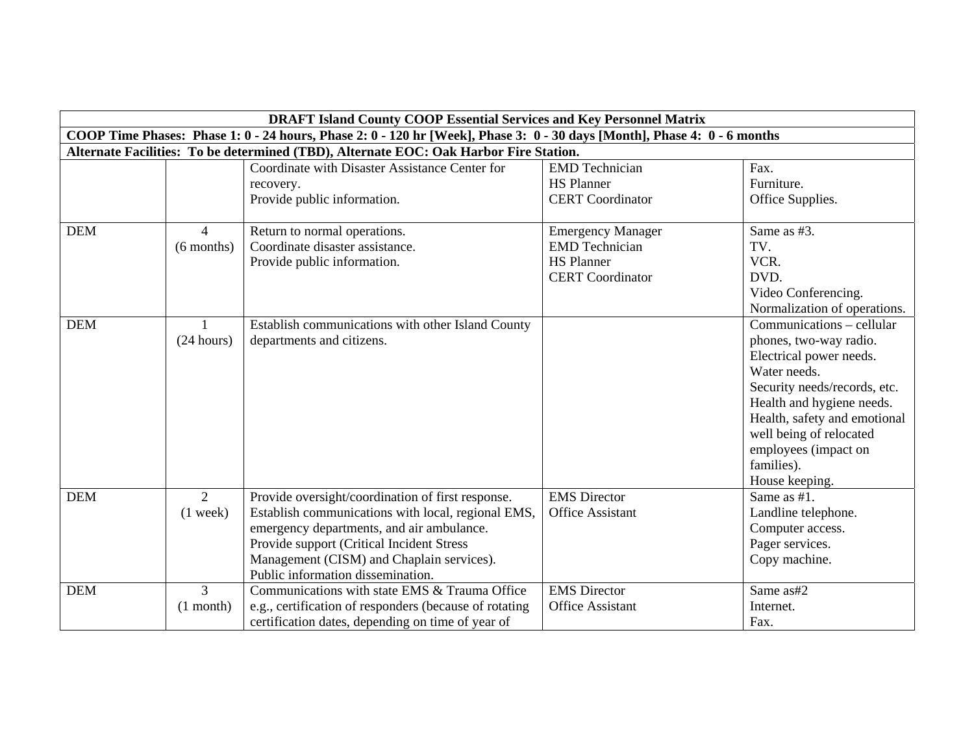|            |                | <b>DRAFT Island County COOP Essential Services and Key Personnel Matrix</b>                                              |                          |                              |
|------------|----------------|--------------------------------------------------------------------------------------------------------------------------|--------------------------|------------------------------|
|            |                | COOP Time Phases: Phase 1: 0 - 24 hours, Phase 2: 0 - 120 hr [Week], Phase 3: 0 - 30 days [Month], Phase 4: 0 - 6 months |                          |                              |
|            |                | Alternate Facilities: To be determined (TBD), Alternate EOC: Oak Harbor Fire Station.                                    |                          |                              |
|            |                | Coordinate with Disaster Assistance Center for                                                                           | <b>EMD</b> Technician    | Fax.                         |
|            |                | recovery.                                                                                                                | <b>HS Planner</b>        | Furniture.                   |
|            |                | Provide public information.                                                                                              | <b>CERT</b> Coordinator  | Office Supplies.             |
|            |                |                                                                                                                          |                          |                              |
| <b>DEM</b> | $\overline{4}$ | Return to normal operations.                                                                                             | <b>Emergency Manager</b> | Same as #3.                  |
|            | $(6$ months)   | Coordinate disaster assistance.                                                                                          | <b>EMD</b> Technician    | TV.                          |
|            |                | Provide public information.                                                                                              | <b>HS Planner</b>        | VCR.                         |
|            |                |                                                                                                                          | <b>CERT</b> Coordinator  | DVD.                         |
|            |                |                                                                                                                          |                          | Video Conferencing.          |
|            |                |                                                                                                                          |                          | Normalization of operations. |
| <b>DEM</b> |                | Establish communications with other Island County                                                                        |                          | Communications - cellular    |
|            | (24 hours)     | departments and citizens.                                                                                                |                          | phones, two-way radio.       |
|            |                |                                                                                                                          |                          | Electrical power needs.      |
|            |                |                                                                                                                          |                          | Water needs.                 |
|            |                |                                                                                                                          |                          | Security needs/records, etc. |
|            |                |                                                                                                                          |                          | Health and hygiene needs.    |
|            |                |                                                                                                                          |                          | Health, safety and emotional |
|            |                |                                                                                                                          |                          | well being of relocated      |
|            |                |                                                                                                                          |                          | employees (impact on         |
|            |                |                                                                                                                          |                          | families).                   |
|            |                |                                                                                                                          |                          | House keeping.               |
| <b>DEM</b> | $\overline{2}$ | Provide oversight/coordination of first response.                                                                        | <b>EMS</b> Director      | Same as #1.                  |
|            | $(1$ week)     | Establish communications with local, regional EMS,                                                                       | Office Assistant         | Landline telephone.          |
|            |                | emergency departments, and air ambulance.                                                                                |                          | Computer access.             |
|            |                | Provide support (Critical Incident Stress                                                                                |                          | Pager services.              |
|            |                | Management (CISM) and Chaplain services).                                                                                |                          | Copy machine.                |
|            |                | Public information dissemination.                                                                                        |                          |                              |
| <b>DEM</b> | $\mathfrak{Z}$ | Communications with state EMS & Trauma Office                                                                            | <b>EMS</b> Director      | Same as#2                    |
|            | $(1$ month)    | e.g., certification of responders (because of rotating                                                                   | <b>Office Assistant</b>  | Internet.                    |
|            |                | certification dates, depending on time of year of                                                                        |                          | Fax.                         |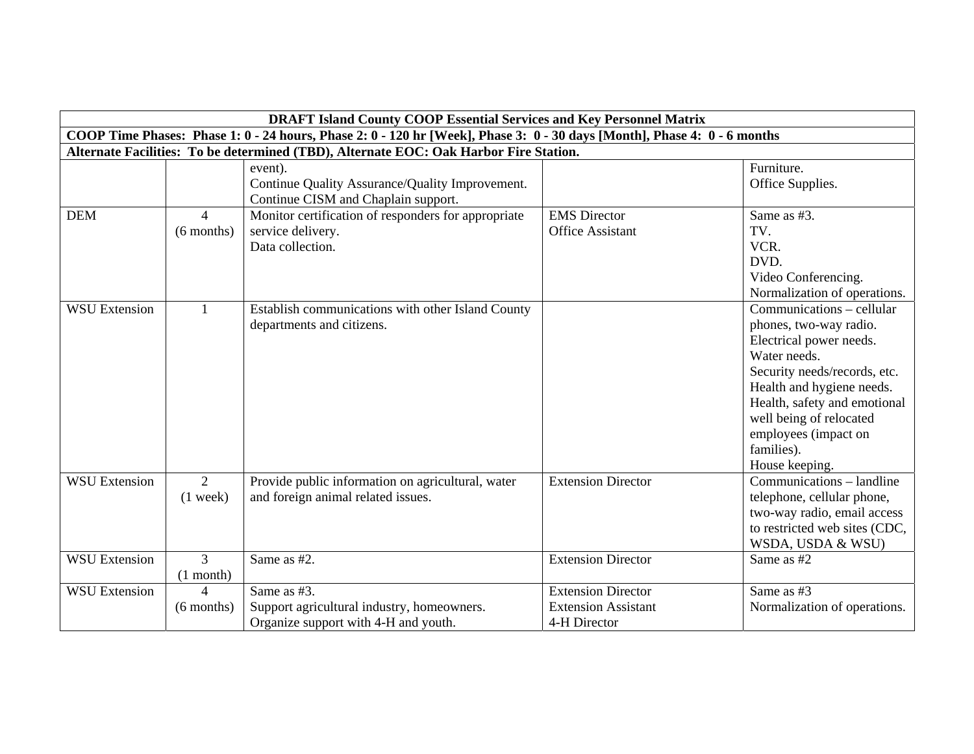|                      |                                | <b>DRAFT Island County COOP Essential Services and Key Personnel Matrix</b>                                              |                                                                         |                                                                                                                                                                                                                                                                                                    |
|----------------------|--------------------------------|--------------------------------------------------------------------------------------------------------------------------|-------------------------------------------------------------------------|----------------------------------------------------------------------------------------------------------------------------------------------------------------------------------------------------------------------------------------------------------------------------------------------------|
|                      |                                | COOP Time Phases: Phase 1: 0 - 24 hours, Phase 2: 0 - 120 hr [Week], Phase 3: 0 - 30 days [Month], Phase 4: 0 - 6 months |                                                                         |                                                                                                                                                                                                                                                                                                    |
|                      |                                | Alternate Facilities: To be determined (TBD), Alternate EOC: Oak Harbor Fire Station.                                    |                                                                         |                                                                                                                                                                                                                                                                                                    |
|                      |                                | event).<br>Continue Quality Assurance/Quality Improvement.<br>Continue CISM and Chaplain support.                        |                                                                         | Furniture.<br>Office Supplies.                                                                                                                                                                                                                                                                     |
| <b>DEM</b>           | $\overline{4}$<br>$(6$ months) | Monitor certification of responders for appropriate<br>service delivery.<br>Data collection.                             | <b>EMS</b> Director<br><b>Office Assistant</b>                          | Same as #3.<br>TV.<br>VCR.<br>DVD.<br>Video Conferencing.<br>Normalization of operations.                                                                                                                                                                                                          |
| <b>WSU Extension</b> | $\mathbf{1}$                   | Establish communications with other Island County<br>departments and citizens.                                           |                                                                         | $\overline{\text{Communications}}$ - cellular<br>phones, two-way radio.<br>Electrical power needs.<br>Water needs.<br>Security needs/records, etc.<br>Health and hygiene needs.<br>Health, safety and emotional<br>well being of relocated<br>employees (impact on<br>families).<br>House keeping. |
| <b>WSU Extension</b> | $\overline{2}$<br>$(1$ week)   | Provide public information on agricultural, water<br>and foreign animal related issues.                                  | <b>Extension Director</b>                                               | Communications – landline<br>telephone, cellular phone,<br>two-way radio, email access<br>to restricted web sites (CDC,<br>WSDA, USDA & WSU)                                                                                                                                                       |
| <b>WSU Extension</b> | $\overline{3}$<br>$(1$ month)  | Same as #2.                                                                                                              | <b>Extension Director</b>                                               | Same as #2                                                                                                                                                                                                                                                                                         |
| <b>WSU Extension</b> | $\mathbf 4$<br>$(6$ months)    | Same as #3.<br>Support agricultural industry, homeowners.<br>Organize support with 4-H and youth.                        | <b>Extension Director</b><br><b>Extension Assistant</b><br>4-H Director | Same as #3<br>Normalization of operations.                                                                                                                                                                                                                                                         |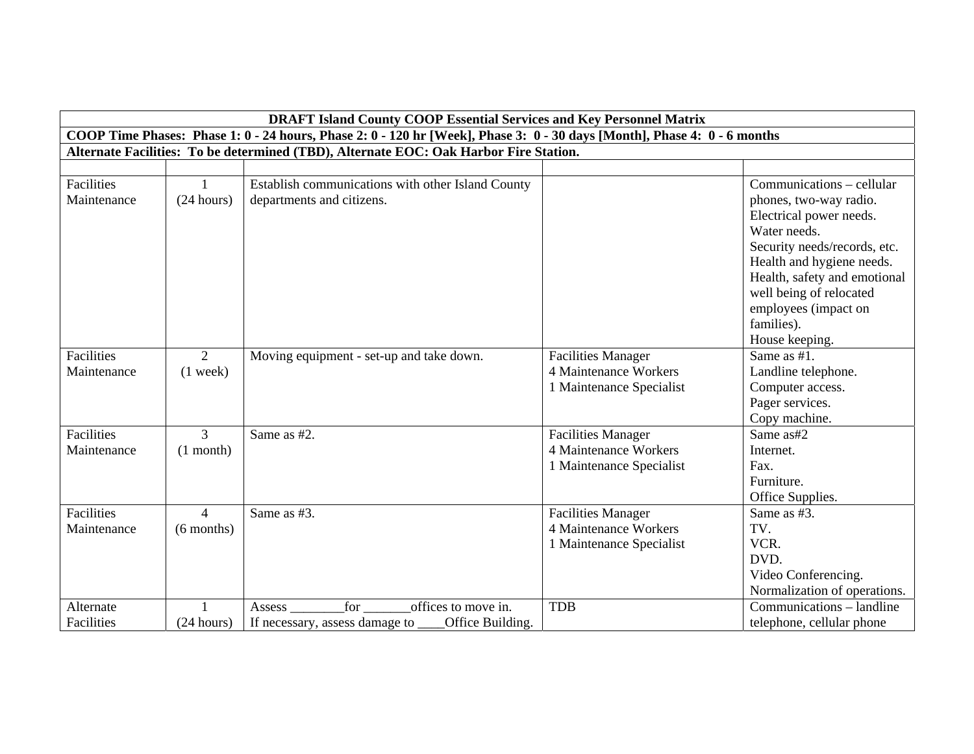|                                  | <b>DRAFT Island County COOP Essential Services and Key Personnel Matrix</b>                                              |                                                                                              |                                                                                       |                                                                                                                                                                                                                                                                                |  |  |
|----------------------------------|--------------------------------------------------------------------------------------------------------------------------|----------------------------------------------------------------------------------------------|---------------------------------------------------------------------------------------|--------------------------------------------------------------------------------------------------------------------------------------------------------------------------------------------------------------------------------------------------------------------------------|--|--|
|                                  | COOP Time Phases: Phase 1: 0 - 24 hours, Phase 2: 0 - 120 hr [Week], Phase 3: 0 - 30 days [Month], Phase 4: 0 - 6 months |                                                                                              |                                                                                       |                                                                                                                                                                                                                                                                                |  |  |
|                                  |                                                                                                                          | Alternate Facilities: To be determined (TBD), Alternate EOC: Oak Harbor Fire Station.        |                                                                                       |                                                                                                                                                                                                                                                                                |  |  |
|                                  |                                                                                                                          |                                                                                              |                                                                                       |                                                                                                                                                                                                                                                                                |  |  |
| Facilities<br>Maintenance        | $\mathbf{1}$<br>(24 hours)                                                                                               | Establish communications with other Island County<br>departments and citizens.               |                                                                                       | Communications – cellular<br>phones, two-way radio.<br>Electrical power needs.<br>Water needs.<br>Security needs/records, etc.<br>Health and hygiene needs.<br>Health, safety and emotional<br>well being of relocated<br>employees (impact on<br>families).<br>House keeping. |  |  |
| Facilities<br>Maintenance        | $\overline{2}$<br>$(1$ week)                                                                                             | Moving equipment - set-up and take down.                                                     | <b>Facilities Manager</b><br><b>4 Maintenance Workers</b><br>1 Maintenance Specialist | Same as #1.<br>Landline telephone.<br>Computer access.<br>Pager services.<br>Copy machine.                                                                                                                                                                                     |  |  |
| <b>Facilities</b><br>Maintenance | $\mathcal{E}$<br>$(1$ month)                                                                                             | Same as #2.                                                                                  | <b>Facilities Manager</b><br><b>4 Maintenance Workers</b><br>1 Maintenance Specialist | Same as#2<br>Internet.<br>Fax.<br>Furniture.<br>Office Supplies.                                                                                                                                                                                                               |  |  |
| Facilities<br>Maintenance        | $\overline{4}$<br>$(6$ months)                                                                                           | Same as #3.                                                                                  | <b>Facilities Manager</b><br>4 Maintenance Workers<br>1 Maintenance Specialist        | Same as #3.<br>TV.<br>VCR.<br>DVD.<br>Video Conferencing.<br>Normalization of operations.                                                                                                                                                                                      |  |  |
| Alternate<br>Facilities          | (24 hours)                                                                                                               | offices to move in.<br>for<br>Assess _<br>If necessary, assess damage to<br>Office Building. | <b>TDB</b>                                                                            | Communications – landline<br>telephone, cellular phone                                                                                                                                                                                                                         |  |  |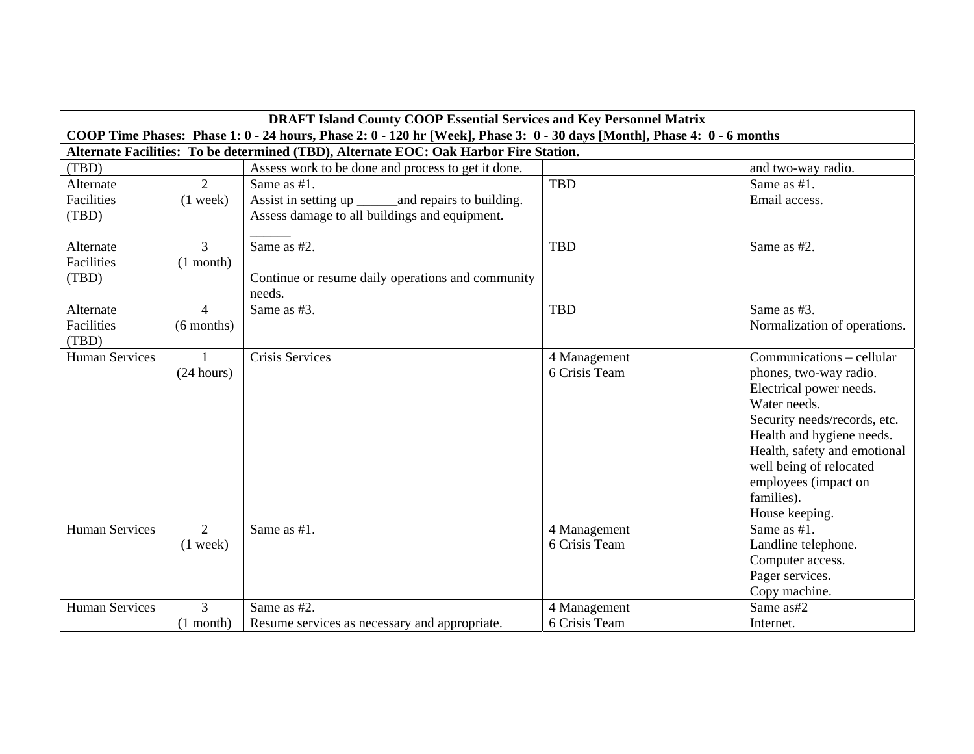|                       | <b>DRAFT Island County COOP Essential Services and Key Personnel Matrix</b>                                              |                                                       |               |                              |  |  |
|-----------------------|--------------------------------------------------------------------------------------------------------------------------|-------------------------------------------------------|---------------|------------------------------|--|--|
|                       | COOP Time Phases: Phase 1: 0 - 24 hours, Phase 2: 0 - 120 hr [Week], Phase 3: 0 - 30 days [Month], Phase 4: 0 - 6 months |                                                       |               |                              |  |  |
|                       | Alternate Facilities: To be determined (TBD), Alternate EOC: Oak Harbor Fire Station.                                    |                                                       |               |                              |  |  |
| (TBD)                 |                                                                                                                          | Assess work to be done and process to get it done.    |               | and two-way radio.           |  |  |
| Alternate             | $\overline{2}$                                                                                                           | Same as #1.                                           | <b>TBD</b>    | Same as $#1$ .               |  |  |
| Facilities            | $(1$ week)                                                                                                               | Assist in setting up _______ and repairs to building. |               | Email access.                |  |  |
| (TBD)                 |                                                                                                                          | Assess damage to all buildings and equipment.         |               |                              |  |  |
|                       |                                                                                                                          |                                                       |               |                              |  |  |
| Alternate             | 3                                                                                                                        | Same as #2.                                           | <b>TBD</b>    | Same as #2.                  |  |  |
| Facilities            | $(1$ month)                                                                                                              |                                                       |               |                              |  |  |
| (TBD)                 |                                                                                                                          | Continue or resume daily operations and community     |               |                              |  |  |
|                       |                                                                                                                          | needs.                                                |               |                              |  |  |
| Alternate             | $\overline{4}$                                                                                                           | Same as #3.                                           | <b>TBD</b>    | Same as #3.                  |  |  |
| Facilities            | $(6$ months)                                                                                                             |                                                       |               | Normalization of operations. |  |  |
| (TBD)                 |                                                                                                                          |                                                       |               |                              |  |  |
| <b>Human Services</b> | $\mathbf{1}$                                                                                                             | <b>Crisis Services</b>                                | 4 Management  | Communications – cellular    |  |  |
|                       | (24 hours)                                                                                                               |                                                       | 6 Crisis Team | phones, two-way radio.       |  |  |
|                       |                                                                                                                          |                                                       |               | Electrical power needs.      |  |  |
|                       |                                                                                                                          |                                                       |               | Water needs.                 |  |  |
|                       |                                                                                                                          |                                                       |               | Security needs/records, etc. |  |  |
|                       |                                                                                                                          |                                                       |               | Health and hygiene needs.    |  |  |
|                       |                                                                                                                          |                                                       |               | Health, safety and emotional |  |  |
|                       |                                                                                                                          |                                                       |               | well being of relocated      |  |  |
|                       |                                                                                                                          |                                                       |               | employees (impact on         |  |  |
|                       |                                                                                                                          |                                                       |               | families).                   |  |  |
|                       |                                                                                                                          |                                                       |               | House keeping.               |  |  |
| <b>Human Services</b> | $\overline{2}$                                                                                                           | Same as #1.                                           | 4 Management  | Same as #1.                  |  |  |
|                       | $(1$ week)                                                                                                               |                                                       | 6 Crisis Team | Landline telephone.          |  |  |
|                       |                                                                                                                          |                                                       |               | Computer access.             |  |  |
|                       |                                                                                                                          |                                                       |               | Pager services.              |  |  |
|                       |                                                                                                                          |                                                       |               | Copy machine.                |  |  |
| <b>Human Services</b> | 3                                                                                                                        | Same as #2.                                           | 4 Management  | Same as#2                    |  |  |
|                       | $(1$ month)                                                                                                              | Resume services as necessary and appropriate.         | 6 Crisis Team | Internet.                    |  |  |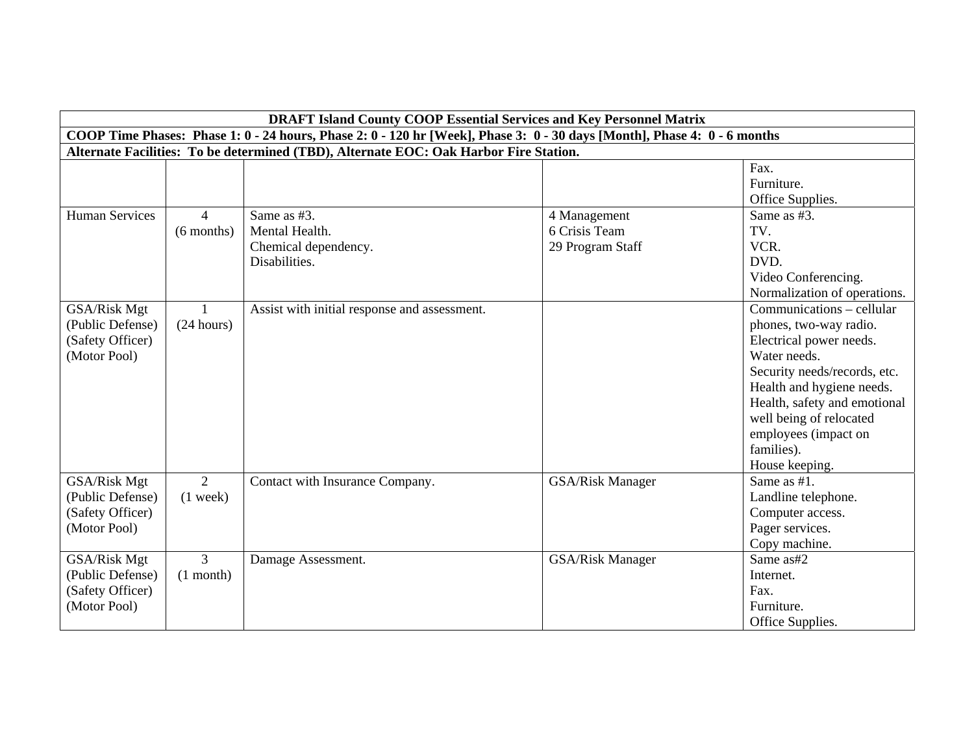|                       | <b>DRAFT Island County COOP Essential Services and Key Personnel Matrix</b>                                              |                                              |                         |                              |  |  |
|-----------------------|--------------------------------------------------------------------------------------------------------------------------|----------------------------------------------|-------------------------|------------------------------|--|--|
|                       | COOP Time Phases: Phase 1: 0 - 24 hours, Phase 2: 0 - 120 hr [Week], Phase 3: 0 - 30 days [Month], Phase 4: 0 - 6 months |                                              |                         |                              |  |  |
|                       | Alternate Facilities: To be determined (TBD), Alternate EOC: Oak Harbor Fire Station.                                    |                                              |                         |                              |  |  |
|                       |                                                                                                                          |                                              |                         | Fax.                         |  |  |
|                       |                                                                                                                          |                                              |                         | Furniture.                   |  |  |
|                       |                                                                                                                          |                                              |                         | Office Supplies.             |  |  |
| <b>Human Services</b> | $\overline{4}$                                                                                                           | Same as #3.                                  | 4 Management            | Same as #3.                  |  |  |
|                       | $(6$ months)                                                                                                             | Mental Health.                               | 6 Crisis Team           | TV.                          |  |  |
|                       |                                                                                                                          | Chemical dependency.                         | 29 Program Staff        | VCR.                         |  |  |
|                       |                                                                                                                          | Disabilities.                                |                         | DVD.                         |  |  |
|                       |                                                                                                                          |                                              |                         | Video Conferencing.          |  |  |
|                       |                                                                                                                          |                                              |                         | Normalization of operations. |  |  |
| GSA/Risk Mgt          | $\mathbf{1}$                                                                                                             | Assist with initial response and assessment. |                         | Communications – cellular    |  |  |
| (Public Defense)      | (24 hours)                                                                                                               |                                              |                         | phones, two-way radio.       |  |  |
| (Safety Officer)      |                                                                                                                          |                                              |                         | Electrical power needs.      |  |  |
| (Motor Pool)          |                                                                                                                          |                                              |                         | Water needs.                 |  |  |
|                       |                                                                                                                          |                                              |                         | Security needs/records, etc. |  |  |
|                       |                                                                                                                          |                                              |                         | Health and hygiene needs.    |  |  |
|                       |                                                                                                                          |                                              |                         | Health, safety and emotional |  |  |
|                       |                                                                                                                          |                                              |                         | well being of relocated      |  |  |
|                       |                                                                                                                          |                                              |                         | employees (impact on         |  |  |
|                       |                                                                                                                          |                                              |                         | families).                   |  |  |
|                       |                                                                                                                          |                                              |                         | House keeping.               |  |  |
| GSA/Risk Mgt          | $\overline{2}$                                                                                                           | Contact with Insurance Company.              | <b>GSA/Risk Manager</b> | Same as #1.                  |  |  |
| (Public Defense)      | $(1$ week)                                                                                                               |                                              |                         | Landline telephone.          |  |  |
| (Safety Officer)      |                                                                                                                          |                                              |                         | Computer access.             |  |  |
| (Motor Pool)          |                                                                                                                          |                                              |                         | Pager services.              |  |  |
|                       |                                                                                                                          |                                              |                         | Copy machine.                |  |  |
| GSA/Risk Mgt          | $\overline{3}$                                                                                                           | Damage Assessment.                           | <b>GSA/Risk Manager</b> | Same as#2                    |  |  |
| (Public Defense)      | $(1$ month)                                                                                                              |                                              |                         | Internet.                    |  |  |
| (Safety Officer)      |                                                                                                                          |                                              |                         | Fax.                         |  |  |
| (Motor Pool)          |                                                                                                                          |                                              |                         | Furniture.                   |  |  |
|                       |                                                                                                                          |                                              |                         | Office Supplies.             |  |  |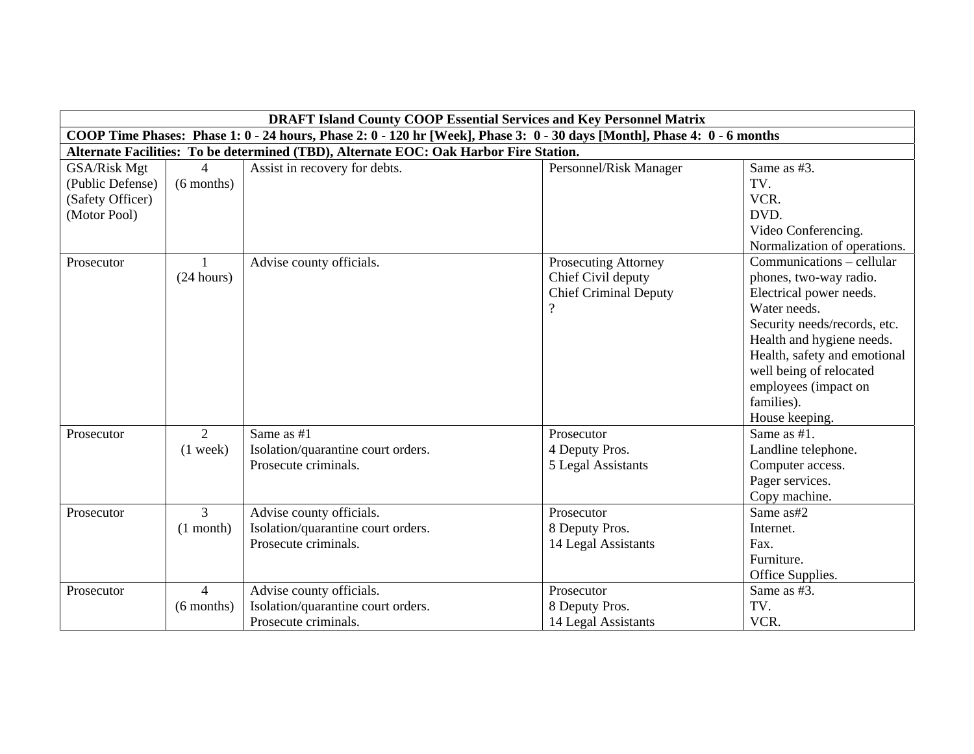|                                                                      | <b>DRAFT Island County COOP Essential Services and Key Personnel Matrix</b> |                                                                                                                          |                                                                                        |                                                                                                                                                                                                                                                                                |  |
|----------------------------------------------------------------------|-----------------------------------------------------------------------------|--------------------------------------------------------------------------------------------------------------------------|----------------------------------------------------------------------------------------|--------------------------------------------------------------------------------------------------------------------------------------------------------------------------------------------------------------------------------------------------------------------------------|--|
|                                                                      |                                                                             | COOP Time Phases: Phase 1: 0 - 24 hours, Phase 2: 0 - 120 hr [Week], Phase 3: 0 - 30 days [Month], Phase 4: 0 - 6 months |                                                                                        |                                                                                                                                                                                                                                                                                |  |
|                                                                      |                                                                             | Alternate Facilities: To be determined (TBD), Alternate EOC: Oak Harbor Fire Station.                                    |                                                                                        |                                                                                                                                                                                                                                                                                |  |
| GSA/Risk Mgt<br>(Public Defense)<br>(Safety Officer)<br>(Motor Pool) | $\Delta$<br>$(6$ months)                                                    | Assist in recovery for debts.                                                                                            | Personnel/Risk Manager                                                                 | Same as #3.<br>TV.<br>VCR.<br>DVD.<br>Video Conferencing.<br>Normalization of operations.                                                                                                                                                                                      |  |
| Prosecutor                                                           | (24 hours)                                                                  | Advise county officials.                                                                                                 | <b>Prosecuting Attorney</b><br>Chief Civil deputy<br><b>Chief Criminal Deputy</b><br>റ | Communications – cellular<br>phones, two-way radio.<br>Electrical power needs.<br>Water needs.<br>Security needs/records, etc.<br>Health and hygiene needs.<br>Health, safety and emotional<br>well being of relocated<br>employees (impact on<br>families).<br>House keeping. |  |
| Prosecutor                                                           | $\overline{2}$<br>$(1$ week)                                                | Same as #1<br>Isolation/quarantine court orders.<br>Prosecute criminals.                                                 | Prosecutor<br>4 Deputy Pros.<br>5 Legal Assistants                                     | Same as #1.<br>Landline telephone.<br>Computer access.<br>Pager services.<br>Copy machine.                                                                                                                                                                                     |  |
| Prosecutor                                                           | $\overline{3}$<br>$(1$ month)                                               | Advise county officials.<br>Isolation/quarantine court orders.<br>Prosecute criminals.                                   | Prosecutor<br>8 Deputy Pros.<br>14 Legal Assistants                                    | Same as#2<br>Internet.<br>Fax.<br>Furniture.<br>Office Supplies.                                                                                                                                                                                                               |  |
| Prosecutor                                                           | $\overline{4}$<br>$(6$ months)                                              | Advise county officials.<br>Isolation/quarantine court orders.<br>Prosecute criminals.                                   | Prosecutor<br>8 Deputy Pros.<br>14 Legal Assistants                                    | Same as #3.<br>TV.<br>VCR.                                                                                                                                                                                                                                                     |  |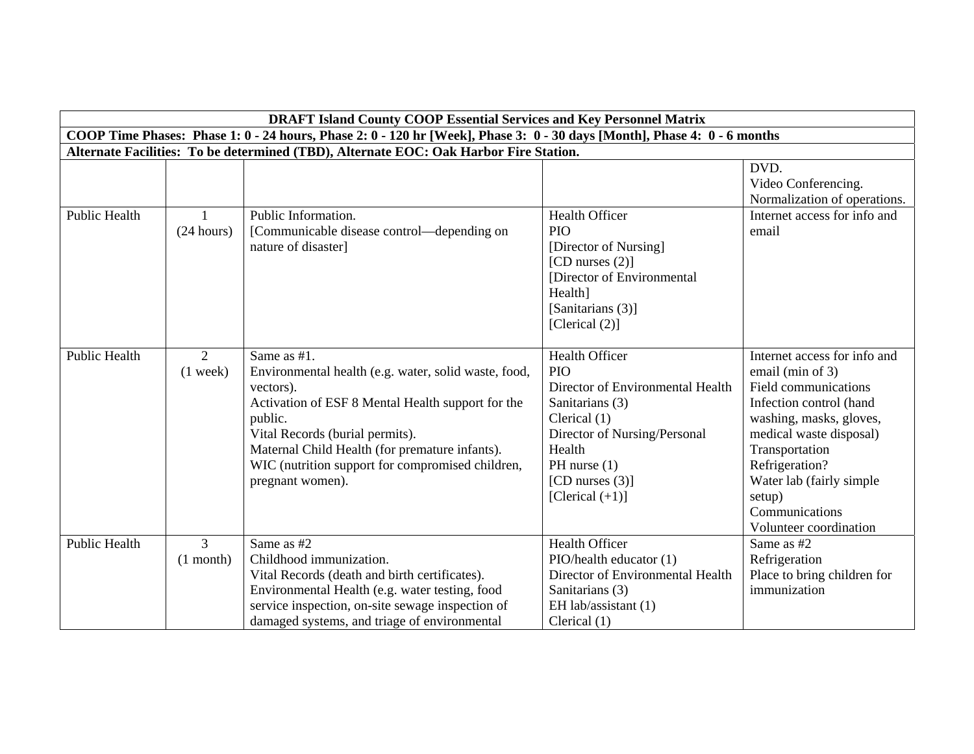|                      | <b>DRAFT Island County COOP Essential Services and Key Personnel Matrix</b>                                              |                                                                                                                                                                                                                                                                                                               |                                                                                                                                                                                                                    |                                                                                                                                                                                                                                                                                 |  |  |
|----------------------|--------------------------------------------------------------------------------------------------------------------------|---------------------------------------------------------------------------------------------------------------------------------------------------------------------------------------------------------------------------------------------------------------------------------------------------------------|--------------------------------------------------------------------------------------------------------------------------------------------------------------------------------------------------------------------|---------------------------------------------------------------------------------------------------------------------------------------------------------------------------------------------------------------------------------------------------------------------------------|--|--|
|                      | COOP Time Phases: Phase 1: 0 - 24 hours, Phase 2: 0 - 120 hr [Week], Phase 3: 0 - 30 days [Month], Phase 4: 0 - 6 months |                                                                                                                                                                                                                                                                                                               |                                                                                                                                                                                                                    |                                                                                                                                                                                                                                                                                 |  |  |
|                      | Alternate Facilities: To be determined (TBD), Alternate EOC: Oak Harbor Fire Station.                                    |                                                                                                                                                                                                                                                                                                               |                                                                                                                                                                                                                    |                                                                                                                                                                                                                                                                                 |  |  |
|                      |                                                                                                                          |                                                                                                                                                                                                                                                                                                               |                                                                                                                                                                                                                    | DVD.<br>Video Conferencing.<br>Normalization of operations.                                                                                                                                                                                                                     |  |  |
| Public Health        | (24 hours)                                                                                                               | Public Information.<br>[Communicable disease control—depending on<br>nature of disaster]                                                                                                                                                                                                                      | Health Officer<br>PIO<br>[Director of Nursing]<br>[CD nurses $(2)$ ]<br>[Director of Environmental<br>Health]<br>[Sanitarians (3)]<br>[Clerical $(2)$ ]                                                            | Internet access for info and<br>email                                                                                                                                                                                                                                           |  |  |
| <b>Public Health</b> | $\overline{2}$<br>$(1$ week)                                                                                             | Same as #1.<br>Environmental health (e.g. water, solid waste, food,<br>vectors).<br>Activation of ESF 8 Mental Health support for the<br>public.<br>Vital Records (burial permits).<br>Maternal Child Health (for premature infants).<br>WIC (nutrition support for compromised children,<br>pregnant women). | <b>Health Officer</b><br><b>PIO</b><br>Director of Environmental Health<br>Sanitarians (3)<br>Clerical (1)<br>Director of Nursing/Personal<br>Health<br>PH nurse $(1)$<br>[CD nurses $(3)$ ]<br>[Clerical $(+1)$ ] | Internet access for info and<br>email (min of 3)<br>Field communications<br>Infection control (hand<br>washing, masks, gloves,<br>medical waste disposal)<br>Transportation<br>Refrigeration?<br>Water lab (fairly simple<br>setup)<br>Communications<br>Volunteer coordination |  |  |
| <b>Public Health</b> | 3<br>$(1$ month)                                                                                                         | Same as #2<br>Childhood immunization.<br>Vital Records (death and birth certificates).<br>Environmental Health (e.g. water testing, food<br>service inspection, on-site sewage inspection of<br>damaged systems, and triage of environmental                                                                  | <b>Health Officer</b><br>PIO/health educator (1)<br>Director of Environmental Health<br>Sanitarians (3)<br>EH lab/assistant (1)<br>Clerical $(1)$                                                                  | Same as #2<br>Refrigeration<br>Place to bring children for<br>immunization                                                                                                                                                                                                      |  |  |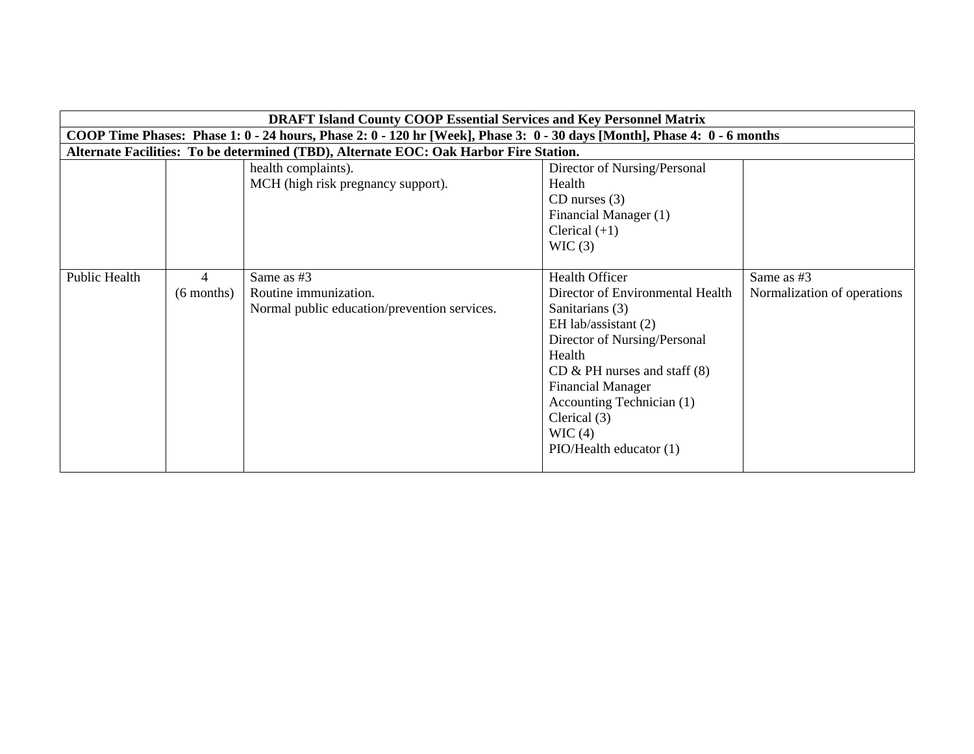|               | <b>DRAFT Island County COOP Essential Services and Key Personnel Matrix</b>                                              |                                                                                       |                                                                                                                                                                                                                                                                                                    |                                           |  |
|---------------|--------------------------------------------------------------------------------------------------------------------------|---------------------------------------------------------------------------------------|----------------------------------------------------------------------------------------------------------------------------------------------------------------------------------------------------------------------------------------------------------------------------------------------------|-------------------------------------------|--|
|               | COOP Time Phases: Phase 1: 0 - 24 hours, Phase 2: 0 - 120 hr [Week], Phase 3: 0 - 30 days [Month], Phase 4: 0 - 6 months |                                                                                       |                                                                                                                                                                                                                                                                                                    |                                           |  |
|               |                                                                                                                          | Alternate Facilities: To be determined (TBD), Alternate EOC: Oak Harbor Fire Station. |                                                                                                                                                                                                                                                                                                    |                                           |  |
|               |                                                                                                                          | health complaints).<br>MCH (high risk pregnancy support).                             | Director of Nursing/Personal<br>Health<br>$CD$ nurses $(3)$<br>Financial Manager (1)<br>Clerical $(+1)$<br>WIC(3)                                                                                                                                                                                  |                                           |  |
| Public Health | 4<br>$(6$ months)                                                                                                        | Same as #3<br>Routine immunization.<br>Normal public education/prevention services.   | <b>Health Officer</b><br>Director of Environmental Health<br>Sanitarians (3)<br>EH lab/assistant $(2)$<br>Director of Nursing/Personal<br>Health<br>$CD &$ PH nurses and staff $(8)$<br><b>Financial Manager</b><br>Accounting Technician (1)<br>Clerical (3)<br>WIC(4)<br>PIO/Health educator (1) | Same as #3<br>Normalization of operations |  |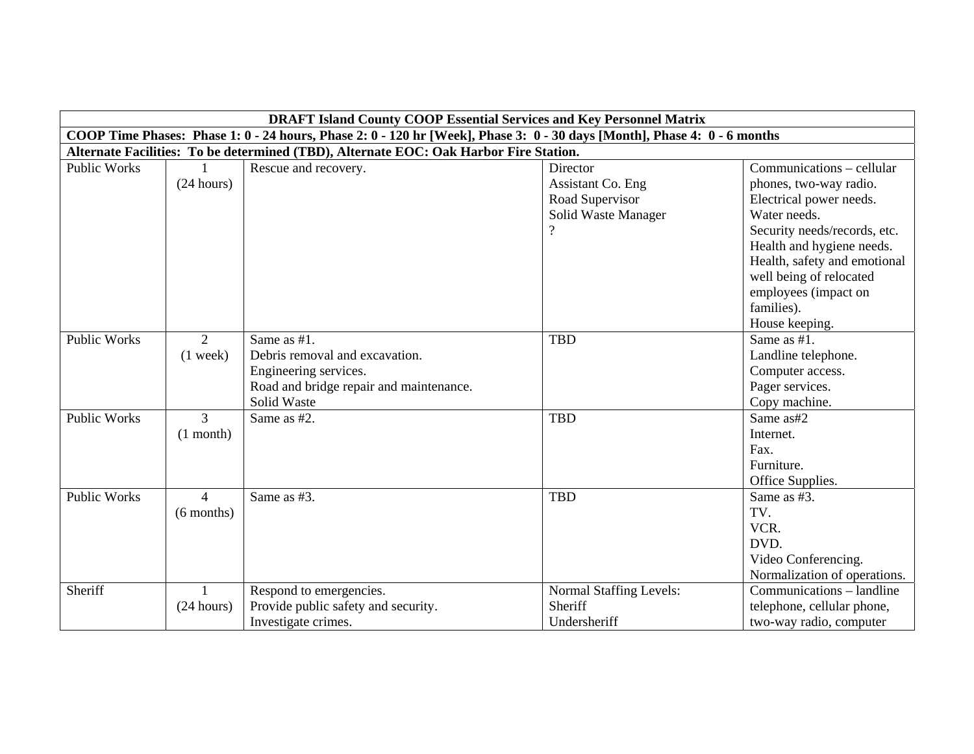|                     | <b>DRAFT Island County COOP Essential Services and Key Personnel Matrix</b>                                              |                                         |                         |                              |  |  |
|---------------------|--------------------------------------------------------------------------------------------------------------------------|-----------------------------------------|-------------------------|------------------------------|--|--|
|                     | COOP Time Phases: Phase 1: 0 - 24 hours, Phase 2: 0 - 120 hr [Week], Phase 3: 0 - 30 days [Month], Phase 4: 0 - 6 months |                                         |                         |                              |  |  |
|                     | Alternate Facilities: To be determined (TBD), Alternate EOC: Oak Harbor Fire Station.                                    |                                         |                         |                              |  |  |
| <b>Public Works</b> |                                                                                                                          | Rescue and recovery.                    | Director                | Communications – cellular    |  |  |
|                     | (24 hours)                                                                                                               |                                         | Assistant Co. Eng       | phones, two-way radio.       |  |  |
|                     |                                                                                                                          |                                         | Road Supervisor         | Electrical power needs.      |  |  |
|                     |                                                                                                                          |                                         | Solid Waste Manager     | Water needs.                 |  |  |
|                     |                                                                                                                          |                                         |                         | Security needs/records, etc. |  |  |
|                     |                                                                                                                          |                                         |                         | Health and hygiene needs.    |  |  |
|                     |                                                                                                                          |                                         |                         | Health, safety and emotional |  |  |
|                     |                                                                                                                          |                                         |                         | well being of relocated      |  |  |
|                     |                                                                                                                          |                                         |                         | employees (impact on         |  |  |
|                     |                                                                                                                          |                                         |                         | families).                   |  |  |
|                     |                                                                                                                          |                                         |                         | House keeping.               |  |  |
| <b>Public Works</b> | 2                                                                                                                        | Same as #1.                             | <b>TBD</b>              | Same as #1.                  |  |  |
|                     | $(1$ week)                                                                                                               | Debris removal and excavation.          |                         | Landline telephone.          |  |  |
|                     |                                                                                                                          | Engineering services.                   |                         | Computer access.             |  |  |
|                     |                                                                                                                          | Road and bridge repair and maintenance. |                         | Pager services.              |  |  |
|                     |                                                                                                                          | Solid Waste                             |                         | Copy machine.                |  |  |
| <b>Public Works</b> | 3                                                                                                                        | Same as #2.                             | <b>TBD</b>              | Same as#2                    |  |  |
|                     | $(1$ month)                                                                                                              |                                         |                         | Internet.                    |  |  |
|                     |                                                                                                                          |                                         |                         | Fax.                         |  |  |
|                     |                                                                                                                          |                                         |                         | Furniture.                   |  |  |
|                     |                                                                                                                          |                                         |                         | Office Supplies.             |  |  |
| <b>Public Works</b> | $\overline{4}$                                                                                                           | Same as #3.                             | <b>TBD</b>              | Same as #3.                  |  |  |
|                     | $(6$ months)                                                                                                             |                                         |                         | TV.                          |  |  |
|                     |                                                                                                                          |                                         |                         | VCR.                         |  |  |
|                     |                                                                                                                          |                                         |                         | DVD.                         |  |  |
|                     |                                                                                                                          |                                         |                         | Video Conferencing.          |  |  |
|                     |                                                                                                                          |                                         |                         | Normalization of operations. |  |  |
| Sheriff             |                                                                                                                          | Respond to emergencies.                 | Normal Staffing Levels: | Communications – landline    |  |  |
|                     | (24 hours)                                                                                                               | Provide public safety and security.     | Sheriff                 | telephone, cellular phone,   |  |  |
|                     |                                                                                                                          | Investigate crimes.                     | Undersheriff            | two-way radio, computer      |  |  |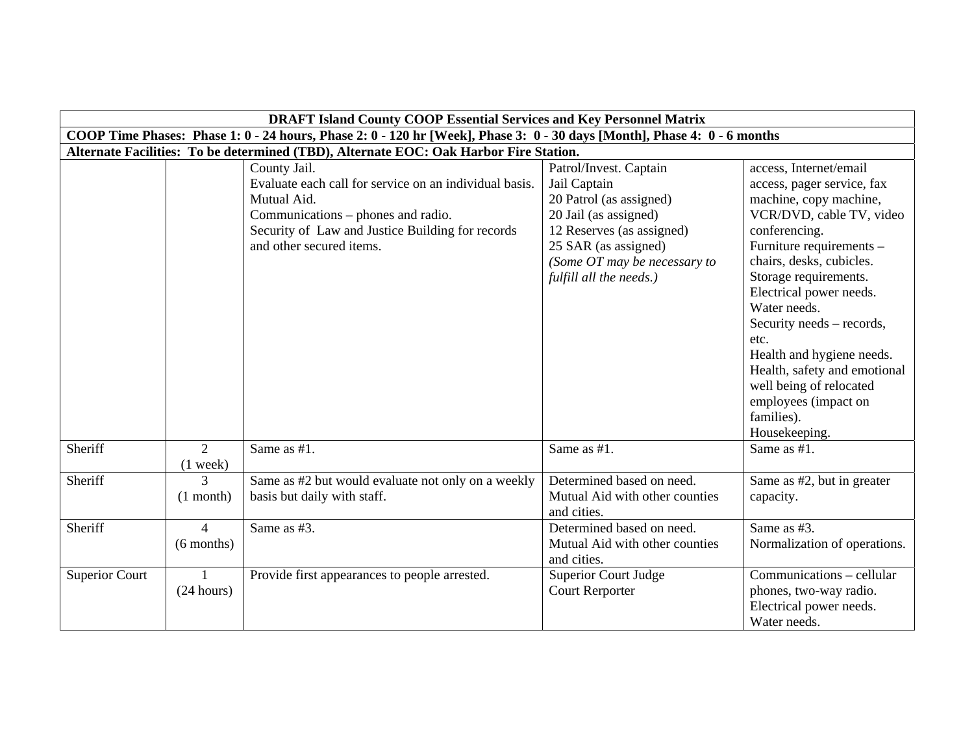|                       | <b>DRAFT Island County COOP Essential Services and Key Personnel Matrix</b> |                                                                                                                                                                                                             |                                                                                                                                                                                                            |                                                                                                                                                                                                                                                                                                                                                                                                                            |  |
|-----------------------|-----------------------------------------------------------------------------|-------------------------------------------------------------------------------------------------------------------------------------------------------------------------------------------------------------|------------------------------------------------------------------------------------------------------------------------------------------------------------------------------------------------------------|----------------------------------------------------------------------------------------------------------------------------------------------------------------------------------------------------------------------------------------------------------------------------------------------------------------------------------------------------------------------------------------------------------------------------|--|
|                       |                                                                             | COOP Time Phases: Phase 1: 0 - 24 hours, Phase 2: 0 - 120 hr [Week], Phase 3: 0 - 30 days [Month], Phase 4: 0 - 6 months                                                                                    |                                                                                                                                                                                                            |                                                                                                                                                                                                                                                                                                                                                                                                                            |  |
|                       |                                                                             | Alternate Facilities: To be determined (TBD), Alternate EOC: Oak Harbor Fire Station.                                                                                                                       |                                                                                                                                                                                                            |                                                                                                                                                                                                                                                                                                                                                                                                                            |  |
|                       |                                                                             | County Jail.<br>Evaluate each call for service on an individual basis.<br>Mutual Aid.<br>Communications – phones and radio.<br>Security of Law and Justice Building for records<br>and other secured items. | Patrol/Invest. Captain<br>Jail Captain<br>20 Patrol (as assigned)<br>20 Jail (as assigned)<br>12 Reserves (as assigned)<br>25 SAR (as assigned)<br>(Some OT may be necessary to<br>fulfill all the needs.) | access, Internet/email<br>access, pager service, fax<br>machine, copy machine,<br>VCR/DVD, cable TV, video<br>conferencing.<br>Furniture requirements -<br>chairs, desks, cubicles.<br>Storage requirements.<br>Electrical power needs.<br>Water needs.<br>Security needs – records,<br>etc.<br>Health and hygiene needs.<br>Health, safety and emotional<br>well being of relocated<br>employees (impact on<br>families). |  |
| Sheriff               | $\overline{2}$<br>$(1$ week)                                                | Same as #1.                                                                                                                                                                                                 | Same as #1.                                                                                                                                                                                                | Housekeeping.<br>Same as $#1$ .                                                                                                                                                                                                                                                                                                                                                                                            |  |
| Sheriff               | $\mathcal{F}$<br>$(1$ month)                                                | Same as #2 but would evaluate not only on a weekly<br>basis but daily with staff.                                                                                                                           | Determined based on need.<br>Mutual Aid with other counties<br>and cities.                                                                                                                                 | Same as #2, but in greater<br>capacity.                                                                                                                                                                                                                                                                                                                                                                                    |  |
| Sheriff               | $\overline{4}$<br>$(6$ months)                                              | Same as #3.                                                                                                                                                                                                 | Determined based on need.<br>Mutual Aid with other counties<br>and cities.                                                                                                                                 | Same as #3.<br>Normalization of operations.                                                                                                                                                                                                                                                                                                                                                                                |  |
| <b>Superior Court</b> | $\mathbf{1}$<br>(24 hours)                                                  | Provide first appearances to people arrested.                                                                                                                                                               | <b>Superior Court Judge</b><br><b>Court Rerporter</b>                                                                                                                                                      | Communications - cellular<br>phones, two-way radio.<br>Electrical power needs.<br>Water needs.                                                                                                                                                                                                                                                                                                                             |  |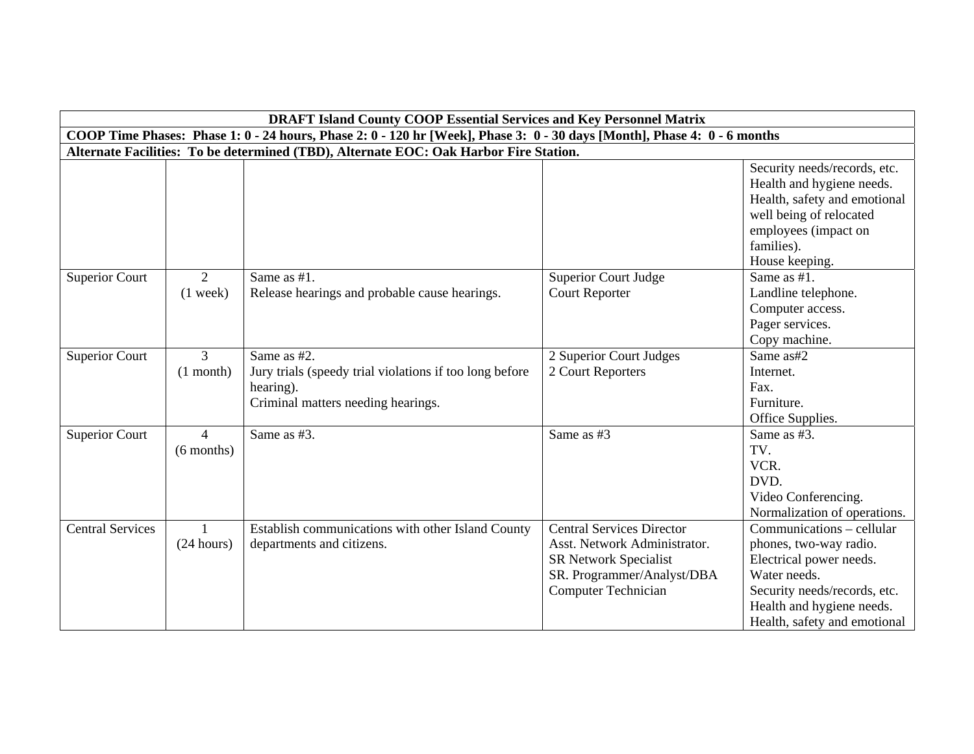|                         |                                                                                                                          | <b>DRAFT Island County COOP Essential Services and Key Personnel Matrix</b>                                               |                                                                                                                                                              |                                                                                                                                                                                             |  |  |
|-------------------------|--------------------------------------------------------------------------------------------------------------------------|---------------------------------------------------------------------------------------------------------------------------|--------------------------------------------------------------------------------------------------------------------------------------------------------------|---------------------------------------------------------------------------------------------------------------------------------------------------------------------------------------------|--|--|
|                         | COOP Time Phases: Phase 1: 0 - 24 hours, Phase 2: 0 - 120 hr [Week], Phase 3: 0 - 30 days [Month], Phase 4: 0 - 6 months |                                                                                                                           |                                                                                                                                                              |                                                                                                                                                                                             |  |  |
|                         | Alternate Facilities: To be determined (TBD), Alternate EOC: Oak Harbor Fire Station.                                    |                                                                                                                           |                                                                                                                                                              |                                                                                                                                                                                             |  |  |
|                         |                                                                                                                          |                                                                                                                           |                                                                                                                                                              | Security needs/records, etc.<br>Health and hygiene needs.<br>Health, safety and emotional<br>well being of relocated<br>employees (impact on<br>families).<br>House keeping.                |  |  |
| <b>Superior Court</b>   | 2<br>$(1$ week)                                                                                                          | Same as #1.<br>Release hearings and probable cause hearings.                                                              | <b>Superior Court Judge</b><br><b>Court Reporter</b>                                                                                                         | Same as #1.<br>Landline telephone.<br>Computer access.<br>Pager services.<br>Copy machine.                                                                                                  |  |  |
| <b>Superior Court</b>   | $\overline{3}$<br>$(1$ month)                                                                                            | Same as #2.<br>Jury trials (speedy trial violations if too long before<br>hearing).<br>Criminal matters needing hearings. | 2 Superior Court Judges<br>2 Court Reporters                                                                                                                 | Same as#2<br>Internet.<br>Fax.<br>Furniture.<br>Office Supplies.                                                                                                                            |  |  |
| <b>Superior Court</b>   | $\overline{4}$<br>$(6$ months)                                                                                           | Same as #3.                                                                                                               | Same as #3                                                                                                                                                   | Same as #3.<br>TV.<br>VCR.<br>DVD.<br>Video Conferencing.<br>Normalization of operations.                                                                                                   |  |  |
| <b>Central Services</b> | $\mathbf{1}$<br>(24 hours)                                                                                               | Establish communications with other Island County<br>departments and citizens.                                            | <b>Central Services Director</b><br>Asst. Network Administrator.<br><b>SR Network Specialist</b><br>SR. Programmer/Analyst/DBA<br><b>Computer Technician</b> | Communications - cellular<br>phones, two-way radio.<br>Electrical power needs.<br>Water needs.<br>Security needs/records, etc.<br>Health and hygiene needs.<br>Health, safety and emotional |  |  |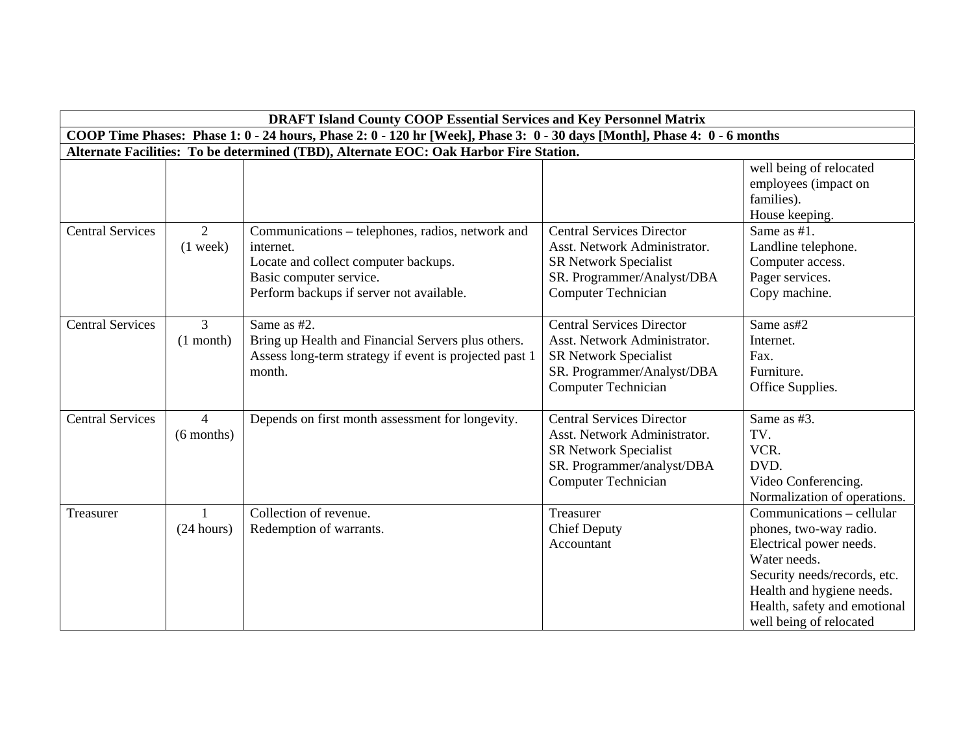|                         |                                                                                                                          | <b>DRAFT Island County COOP Essential Services and Key Personnel Matrix</b>                                                                                                  |                                                                                                                                                       |                                                                                                                                                                                                                        |  |  |
|-------------------------|--------------------------------------------------------------------------------------------------------------------------|------------------------------------------------------------------------------------------------------------------------------------------------------------------------------|-------------------------------------------------------------------------------------------------------------------------------------------------------|------------------------------------------------------------------------------------------------------------------------------------------------------------------------------------------------------------------------|--|--|
|                         | COOP Time Phases: Phase 1: 0 - 24 hours, Phase 2: 0 - 120 hr [Week], Phase 3: 0 - 30 days [Month], Phase 4: 0 - 6 months |                                                                                                                                                                              |                                                                                                                                                       |                                                                                                                                                                                                                        |  |  |
|                         | Alternate Facilities: To be determined (TBD), Alternate EOC: Oak Harbor Fire Station.                                    |                                                                                                                                                                              |                                                                                                                                                       |                                                                                                                                                                                                                        |  |  |
|                         |                                                                                                                          |                                                                                                                                                                              |                                                                                                                                                       | well being of relocated<br>employees (impact on<br>families).<br>House keeping.                                                                                                                                        |  |  |
| <b>Central Services</b> | 2<br>$(1$ week)                                                                                                          | Communications – telephones, radios, network and<br>internet.<br>Locate and collect computer backups.<br>Basic computer service.<br>Perform backups if server not available. | <b>Central Services Director</b><br>Asst. Network Administrator.<br>SR Network Specialist<br>SR. Programmer/Analyst/DBA<br><b>Computer Technician</b> | Same as #1.<br>Landline telephone.<br>Computer access.<br>Pager services.<br>Copy machine.                                                                                                                             |  |  |
| <b>Central Services</b> | $\mathfrak{Z}$<br>$(1$ month)                                                                                            | Same as #2.<br>Bring up Health and Financial Servers plus others.<br>Assess long-term strategy if event is projected past 1<br>month.                                        | <b>Central Services Director</b><br>Asst. Network Administrator.<br>SR Network Specialist<br>SR. Programmer/Analyst/DBA<br><b>Computer Technician</b> | Same as#2<br>Internet.<br>Fax.<br>Furniture.<br>Office Supplies.                                                                                                                                                       |  |  |
| <b>Central Services</b> | $\overline{4}$<br>$(6$ months)                                                                                           | Depends on first month assessment for longevity.                                                                                                                             | <b>Central Services Director</b><br>Asst. Network Administrator.<br>SR Network Specialist<br>SR. Programmer/analyst/DBA<br>Computer Technician        | Same as #3.<br>TV.<br>VCR.<br>DVD.<br>Video Conferencing.<br>Normalization of operations.                                                                                                                              |  |  |
| Treasurer               | $\mathbf{1}$<br>(24 hours)                                                                                               | Collection of revenue.<br>Redemption of warrants.                                                                                                                            | Treasurer<br><b>Chief Deputy</b><br>Accountant                                                                                                        | Communications – cellular<br>phones, two-way radio.<br>Electrical power needs.<br>Water needs.<br>Security needs/records, etc.<br>Health and hygiene needs.<br>Health, safety and emotional<br>well being of relocated |  |  |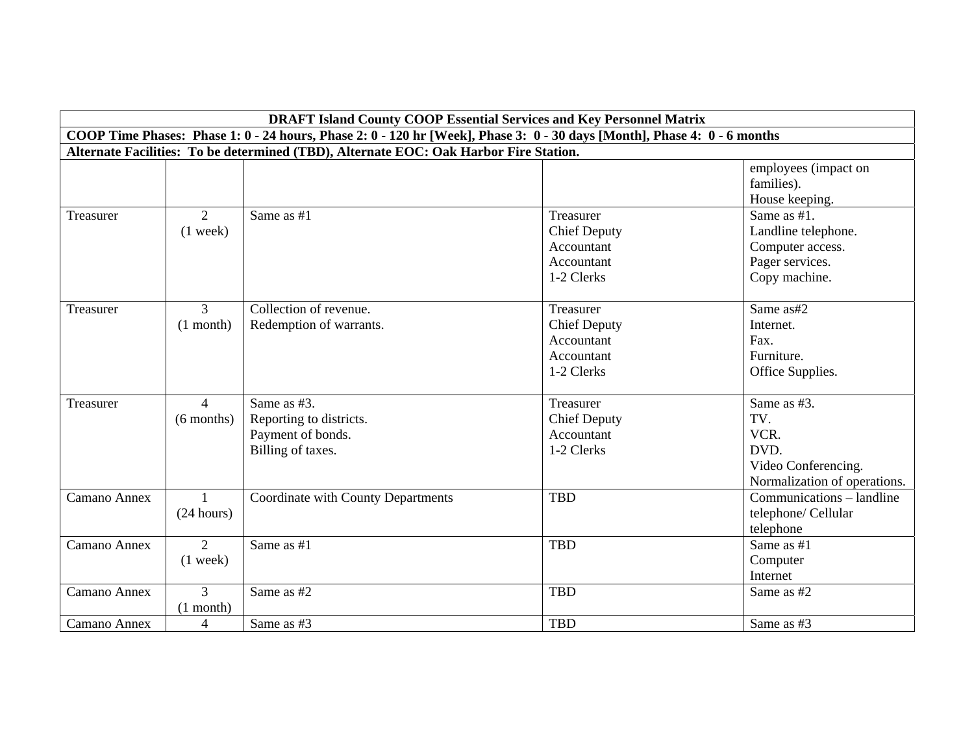|              | <b>DRAFT Island County COOP Essential Services and Key Personnel Matrix</b> |                                                                                                                          |                                                                            |                                                                                            |  |
|--------------|-----------------------------------------------------------------------------|--------------------------------------------------------------------------------------------------------------------------|----------------------------------------------------------------------------|--------------------------------------------------------------------------------------------|--|
|              |                                                                             | COOP Time Phases: Phase 1: 0 - 24 hours, Phase 2: 0 - 120 hr [Week], Phase 3: 0 - 30 days [Month], Phase 4: 0 - 6 months |                                                                            |                                                                                            |  |
|              |                                                                             | Alternate Facilities: To be determined (TBD), Alternate EOC: Oak Harbor Fire Station.                                    |                                                                            |                                                                                            |  |
|              |                                                                             |                                                                                                                          |                                                                            | employees (impact on<br>families).<br>House keeping.                                       |  |
| Treasurer    | 2<br>$(1$ week)                                                             | Same as #1                                                                                                               | Treasurer<br><b>Chief Deputy</b><br>Accountant<br>Accountant<br>1-2 Clerks | Same as #1.<br>Landline telephone.<br>Computer access.<br>Pager services.<br>Copy machine. |  |
| Treasurer    | $\overline{3}$<br>$(1$ month)                                               | Collection of revenue.<br>Redemption of warrants.                                                                        | Treasurer<br><b>Chief Deputy</b><br>Accountant<br>Accountant<br>1-2 Clerks | Same as#2<br>Internet.<br>Fax.<br>Furniture.<br>Office Supplies.                           |  |
| Treasurer    | $\overline{4}$<br>$(6$ months)                                              | Same as #3.<br>Reporting to districts.<br>Payment of bonds.<br>Billing of taxes.                                         | Treasurer<br><b>Chief Deputy</b><br>Accountant<br>1-2 Clerks               | Same as #3.<br>TV.<br>VCR.<br>DVD.<br>Video Conferencing.<br>Normalization of operations.  |  |
| Camano Annex | $\overline{1}$<br>(24 hours)                                                | Coordinate with County Departments                                                                                       | <b>TBD</b>                                                                 | Communications – landline<br>telephone/ Cellular<br>telephone                              |  |
| Camano Annex | 2<br>$(1$ week)                                                             | Same as #1                                                                                                               | <b>TBD</b>                                                                 | Same as #1<br>Computer<br>Internet                                                         |  |
| Camano Annex | 3<br>$(1$ month)                                                            | Same as #2                                                                                                               | <b>TBD</b>                                                                 | Same as #2                                                                                 |  |
| Camano Annex | $\overline{4}$                                                              | Same as #3                                                                                                               | <b>TBD</b>                                                                 | Same as #3                                                                                 |  |